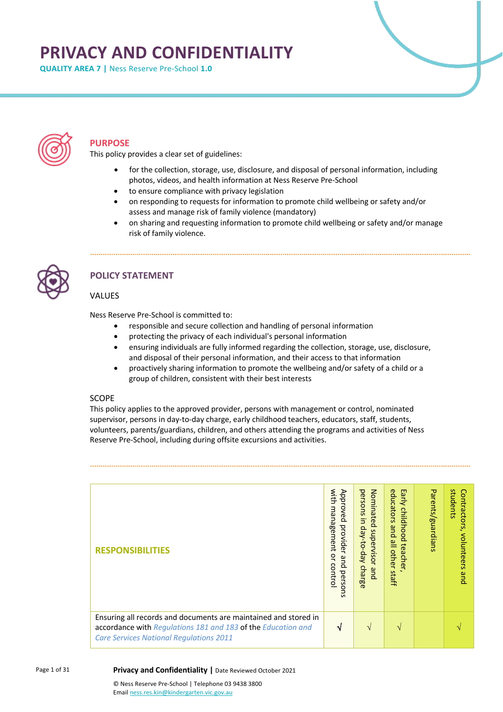# **PRIVACY AND CONFIDENTIALITY**

**QUALITY AREA 7 |** Ness Reserve Pre-School **1.0**



# **PURPOSE**

This policy provides a clear set of guidelines:

- for the collection, storage, use, disclosure, and disposal of personal information, including photos, videos, and health information at Ness Reserve Pre-School
- to ensure compliance with privacy legislation
- on responding to requests for information to promote child wellbeing or safety and/or assess and manage risk of family violence (mandatory)
- on sharing and requesting information to promote child wellbeing or safety and/or manage risk of family violence.



# **POLICY STATEMENT**

# VALUES

Ness Reserve Pre-School is committed to:

- responsible and secure collection and handling of personal information
- protecting the privacy of each individual's personal information
- ensuring individuals are fully informed regarding the collection, storage, use, disclosure, and disposal of their personal information, and their access to that information
- proactively sharing information to promote the wellbeing and/or safety of a child or a group of children, consistent with their best interests

# SCOPE

This policy applies to the approved provider, persons with management or control, nominated supervisor, persons in day-to-day charge, early childhood teachers, educators, staff, students, volunteers, parents/guardians, children, and others attending the programs and activities of Ness Reserve Pre-School, including during offsite excursions and activities.

| <b>RESPONSIBILITIES</b>                                                                                                                                                           | with<br>Approved<br>management<br>provider<br>ă<br>and<br>contro<br>persons | Nominated<br>persons<br>$\overline{5}$<br>day-to-day<br>supervisor<br>charge<br>pue | educators<br>Early<br>childhood<br>and<br>$\frac{8}{1}$<br>teacher<br>other<br>staff | Parents/guardians | students<br>Contractors,<br>volunteers<br>que |
|-----------------------------------------------------------------------------------------------------------------------------------------------------------------------------------|-----------------------------------------------------------------------------|-------------------------------------------------------------------------------------|--------------------------------------------------------------------------------------|-------------------|-----------------------------------------------|
| Ensuring all records and documents are maintained and stored in<br>accordance with Regulations 181 and 183 of the Education and<br><b>Care Services National Regulations 2011</b> | √                                                                           | $\sqrt{ }$                                                                          | $\mathcal{N}$                                                                        |                   |                                               |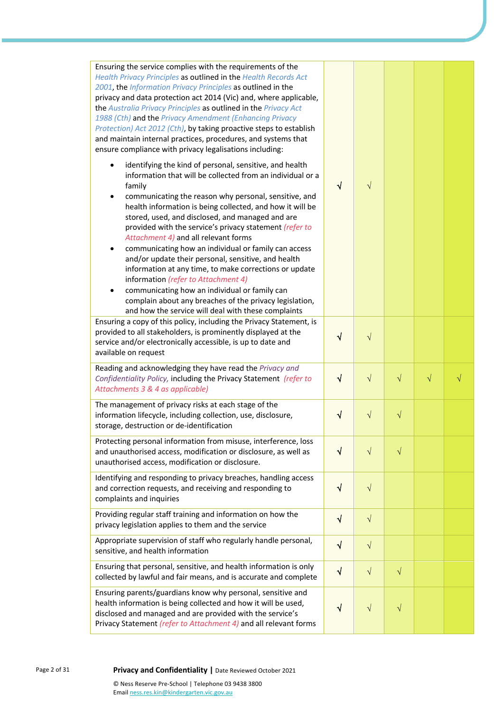| Ensuring the service complies with the requirements of the<br>Health Privacy Principles as outlined in the Health Records Act<br>2001, the Information Privacy Principles as outlined in the<br>privacy and data protection act 2014 (Vic) and, where applicable,<br>the Australia Privacy Principles as outlined in the Privacy Act<br>1988 (Cth) and the Privacy Amendment (Enhancing Privacy<br>Protection) Act 2012 (Cth), by taking proactive steps to establish<br>and maintain internal practices, procedures, and systems that<br>ensure compliance with privacy legalisations including:<br>identifying the kind of personal, sensitive, and health<br>$\bullet$<br>information that will be collected from an individual or a<br>family<br>communicating the reason why personal, sensitive, and<br>٠ | $\sqrt{}$  | $\sqrt{}$  |           |           |  |
|-----------------------------------------------------------------------------------------------------------------------------------------------------------------------------------------------------------------------------------------------------------------------------------------------------------------------------------------------------------------------------------------------------------------------------------------------------------------------------------------------------------------------------------------------------------------------------------------------------------------------------------------------------------------------------------------------------------------------------------------------------------------------------------------------------------------|------------|------------|-----------|-----------|--|
| health information is being collected, and how it will be<br>stored, used, and disclosed, and managed and are<br>provided with the service's privacy statement (refer to<br>Attachment 4) and all relevant forms<br>communicating how an individual or family can access<br>$\bullet$<br>and/or update their personal, sensitive, and health<br>information at any time, to make corrections or update<br>information (refer to Attachment 4)<br>communicating how an individual or family can<br>complain about any breaches of the privacy legislation,<br>and how the service will deal with these complaints                                                                                                                                                                                                |            |            |           |           |  |
| Ensuring a copy of this policy, including the Privacy Statement, is<br>provided to all stakeholders, is prominently displayed at the<br>service and/or electronically accessible, is up to date and<br>available on request                                                                                                                                                                                                                                                                                                                                                                                                                                                                                                                                                                                     | √          | $\sqrt{}$  |           |           |  |
| Reading and acknowledging they have read the Privacy and<br>Confidentiality Policy, including the Privacy Statement (refer to<br>Attachments 3 & 4 as applicable)                                                                                                                                                                                                                                                                                                                                                                                                                                                                                                                                                                                                                                               | $\sqrt{ }$ | $\sqrt{}$  | $\sqrt{}$ | $\sqrt{}$ |  |
| The management of privacy risks at each stage of the<br>information lifecycle, including collection, use, disclosure,<br>storage, destruction or de-identification                                                                                                                                                                                                                                                                                                                                                                                                                                                                                                                                                                                                                                              | √          | $\sqrt{}$  | $\sqrt{}$ |           |  |
| Protecting personal information from misuse, interference, loss<br>and unauthorised access, modification or disclosure, as well as<br>unauthorised access, modification or disclosure.                                                                                                                                                                                                                                                                                                                                                                                                                                                                                                                                                                                                                          | √          | $\sqrt{}$  | $\sqrt{}$ |           |  |
| Identifying and responding to privacy breaches, handling access<br>and correction requests, and receiving and responding to<br>complaints and inquiries                                                                                                                                                                                                                                                                                                                                                                                                                                                                                                                                                                                                                                                         | $\sqrt{ }$ | $\sqrt{}$  |           |           |  |
| Providing regular staff training and information on how the<br>privacy legislation applies to them and the service                                                                                                                                                                                                                                                                                                                                                                                                                                                                                                                                                                                                                                                                                              | $\sqrt{ }$ | $\sqrt{ }$ |           |           |  |
| Appropriate supervision of staff who regularly handle personal,<br>sensitive, and health information                                                                                                                                                                                                                                                                                                                                                                                                                                                                                                                                                                                                                                                                                                            | $\sqrt{ }$ | $\sqrt{ }$ |           |           |  |
| Ensuring that personal, sensitive, and health information is only<br>collected by lawful and fair means, and is accurate and complete                                                                                                                                                                                                                                                                                                                                                                                                                                                                                                                                                                                                                                                                           | $\sqrt{ }$ | $\sqrt{ }$ | $\sqrt{}$ |           |  |
| Ensuring parents/guardians know why personal, sensitive and<br>health information is being collected and how it will be used,<br>disclosed and managed and are provided with the service's<br>Privacy Statement (refer to Attachment 4) and all relevant forms                                                                                                                                                                                                                                                                                                                                                                                                                                                                                                                                                  | V          | $\sqrt{}$  | $\sqrt{}$ |           |  |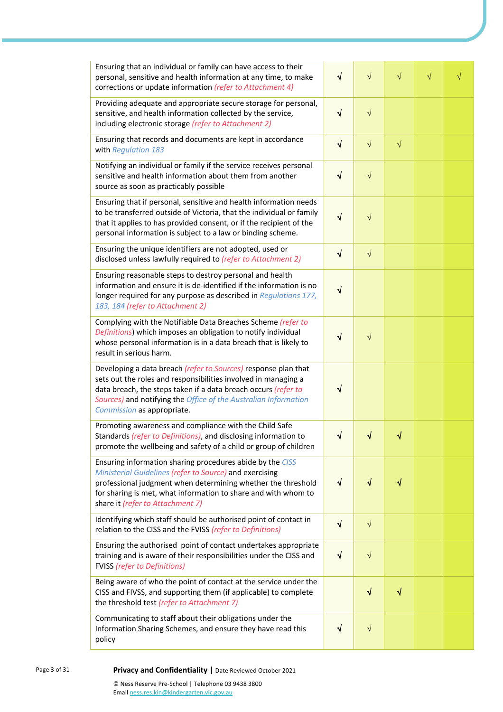| Ensuring that an individual or family can have access to their<br>personal, sensitive and health information at any time, to make<br>corrections or update information (refer to Attachment 4)                                                                                                      | $\sqrt{}$  | $\sqrt{}$                        | $\sqrt{}$ | $\sqrt{}$ | $\sqrt{}$ |
|-----------------------------------------------------------------------------------------------------------------------------------------------------------------------------------------------------------------------------------------------------------------------------------------------------|------------|----------------------------------|-----------|-----------|-----------|
| Providing adequate and appropriate secure storage for personal,<br>sensitive, and health information collected by the service,<br>including electronic storage (refer to Attachment 2)                                                                                                              | $\sqrt{}$  | $\sqrt{2}$                       |           |           |           |
| Ensuring that records and documents are kept in accordance<br>with Regulation 183                                                                                                                                                                                                                   | $\sqrt{}$  | $\sqrt{}$                        | $\sqrt{}$ |           |           |
| Notifying an individual or family if the service receives personal<br>sensitive and health information about them from another<br>source as soon as practicably possible                                                                                                                            | $\sqrt{}$  | $\sqrt{}$                        |           |           |           |
| Ensuring that if personal, sensitive and health information needs<br>to be transferred outside of Victoria, that the individual or family<br>that it applies to has provided consent, or if the recipient of the<br>personal information is subject to a law or binding scheme.                     | $\sqrt{}$  | $\sqrt{}$                        |           |           |           |
| Ensuring the unique identifiers are not adopted, used or<br>disclosed unless lawfully required to (refer to Attachment 2)                                                                                                                                                                           | $\sqrt{ }$ | $\sqrt{}$                        |           |           |           |
| Ensuring reasonable steps to destroy personal and health<br>information and ensure it is de-identified if the information is no<br>longer required for any purpose as described in Regulations 177,<br>183, 184 (refer to Attachment 2)                                                             | $\sqrt{}$  |                                  |           |           |           |
| Complying with the Notifiable Data Breaches Scheme (refer to<br>Definitions) which imposes an obligation to notify individual<br>whose personal information is in a data breach that is likely to<br>result in serious harm.                                                                        | $\sqrt{}$  | $\sqrt{}$                        |           |           |           |
| Developing a data breach (refer to Sources) response plan that<br>sets out the roles and responsibilities involved in managing a<br>data breach, the steps taken if a data breach occurs (refer to<br>Sources) and notifying the Office of the Australian Information<br>Commission as appropriate. | √          |                                  |           |           |           |
| Promoting awareness and compliance with the Child Safe<br>Standards (refer to Definitions), and disclosing information to<br>promote the wellbeing and safety of a child or group of children                                                                                                       | $\sqrt{}$  | $\color{red} \blacktriangleleft$ | $\sqrt{}$ |           |           |
| Ensuring information sharing procedures abide by the CISS<br>Ministerial Guidelines (refer to Source) and exercising<br>professional judgment when determining whether the threshold<br>for sharing is met, what information to share and with whom to<br>share it (refer to Attachment 7)          | $\sqrt{}$  | $\sqrt{}$                        | $\sqrt{}$ |           |           |
| Identifying which staff should be authorised point of contact in<br>relation to the CISS and the FVISS (refer to Definitions)                                                                                                                                                                       | $\sqrt{}$  | $\sqrt{}$                        |           |           |           |
| Ensuring the authorised point of contact undertakes appropriate<br>training and is aware of their responsibilities under the CISS and<br><b>FVISS</b> (refer to Definitions)                                                                                                                        | $\sqrt{ }$ | $\sqrt{}$                        |           |           |           |
| Being aware of who the point of contact at the service under the<br>CISS and FIVSS, and supporting them (if applicable) to complete<br>the threshold test (refer to Attachment 7)                                                                                                                   |            | $\sqrt{}$                        | $\sqrt{}$ |           |           |
| Communicating to staff about their obligations under the<br>Information Sharing Schemes, and ensure they have read this<br>policy                                                                                                                                                                   | $\sqrt{ }$ | $\sqrt{}$                        |           |           |           |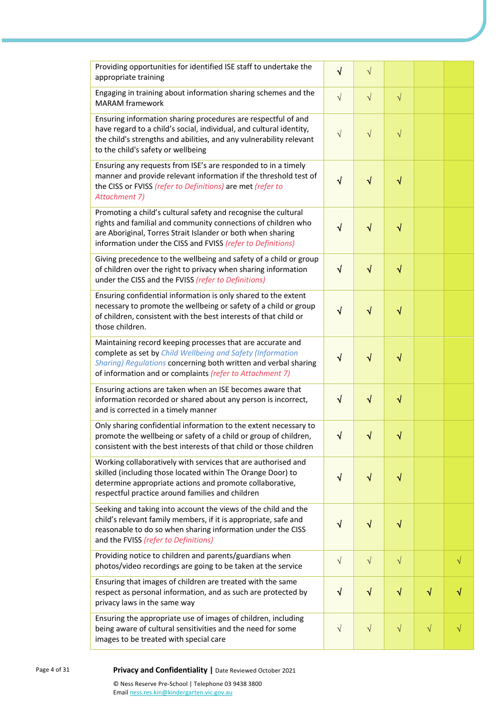| Providing opportunities for identified ISE staff to undertake the<br>appropriate training                                                                                                                                                                     | $\sqrt{}$  | $\sqrt{}$  |           |           |           |
|---------------------------------------------------------------------------------------------------------------------------------------------------------------------------------------------------------------------------------------------------------------|------------|------------|-----------|-----------|-----------|
| Engaging in training about information sharing schemes and the<br><b>MARAM</b> framework                                                                                                                                                                      | $\sqrt{ }$ | $\sqrt{ }$ | $\sqrt{}$ |           |           |
| Ensuring information sharing procedures are respectful of and<br>have regard to a child's social, individual, and cultural identity,<br>the child's strengths and abilities, and any vulnerability relevant<br>to the child's safety or wellbeing             | $\sqrt{ }$ | $\sqrt{}$  | $\sqrt{}$ |           |           |
| Ensuring any requests from ISE's are responded to in a timely<br>manner and provide relevant information if the threshold test of<br>the CISS or FVISS (refer to Definitions) are met (refer to<br>Attachment 7)                                              | $\sqrt{ }$ | $\sqrt{}$  | $\sqrt{}$ |           |           |
| Promoting a child's cultural safety and recognise the cultural<br>rights and familial and community connections of children who<br>are Aboriginal, Torres Strait Islander or both when sharing<br>information under the CISS and FVISS (refer to Definitions) | $\sqrt{}$  | √          | $\sqrt{}$ |           |           |
| Giving precedence to the wellbeing and safety of a child or group<br>of children over the right to privacy when sharing information<br>under the CISS and the FVISS (refer to Definitions)                                                                    | $\sqrt{}$  | $\sqrt{ }$ | $\sqrt{}$ |           |           |
| Ensuring confidential information is only shared to the extent<br>necessary to promote the wellbeing or safety of a child or group<br>of children, consistent with the best interests of that child or<br>those children.                                     | $\sqrt{ }$ | $\sqrt{}$  | $\sqrt{}$ |           |           |
| Maintaining record keeping processes that are accurate and<br>complete as set by Child Wellbeing and Safety (Information<br>Sharing) Regulations concerning both written and verbal sharing<br>of information and or complaints (refer to Attachment 7)       | $\sqrt{}$  | $\sqrt{}$  | $\sqrt{}$ |           |           |
| Ensuring actions are taken when an ISE becomes aware that<br>information recorded or shared about any person is incorrect,<br>and is corrected in a timely manner                                                                                             | $\sqrt{ }$ | $\sqrt{ }$ | $\sqrt{}$ |           |           |
| Only sharing confidential information to the extent necessary to<br>promote the wellbeing or safety of a child or group of children,<br>consistent with the best interests of that child or those children                                                    | $\sqrt{ }$ | √          | √         |           |           |
| Working collaboratively with services that are authorised and<br>skilled (including those located within The Orange Door) to<br>determine appropriate actions and promote collaborative,<br>respectful practice around families and children                  | √          | V          | √         |           |           |
| Seeking and taking into account the views of the child and the<br>child's relevant family members, if it is appropriate, safe and<br>reasonable to do so when sharing information under the CISS<br>and the FVISS (refer to Definitions)                      | $\sqrt{}$  | $\sqrt{}$  | $\sqrt{}$ |           |           |
| Providing notice to children and parents/guardians when<br>photos/video recordings are going to be taken at the service                                                                                                                                       | $\sqrt{ }$ | $\sqrt{ }$ | $\sqrt{}$ |           | $\sqrt{}$ |
| Ensuring that images of children are treated with the same<br>respect as personal information, and as such are protected by<br>privacy laws in the same way                                                                                                   | $\sqrt{}$  | $\sqrt{}$  | $\sqrt{}$ | $\sqrt{}$ |           |
| Ensuring the appropriate use of images of children, including<br>being aware of cultural sensitivities and the need for some<br>images to be treated with special care                                                                                        | $\sqrt{ }$ | $\sqrt{}$  | $\sqrt{}$ | $\sqrt{}$ |           |
|                                                                                                                                                                                                                                                               |            |            |           |           |           |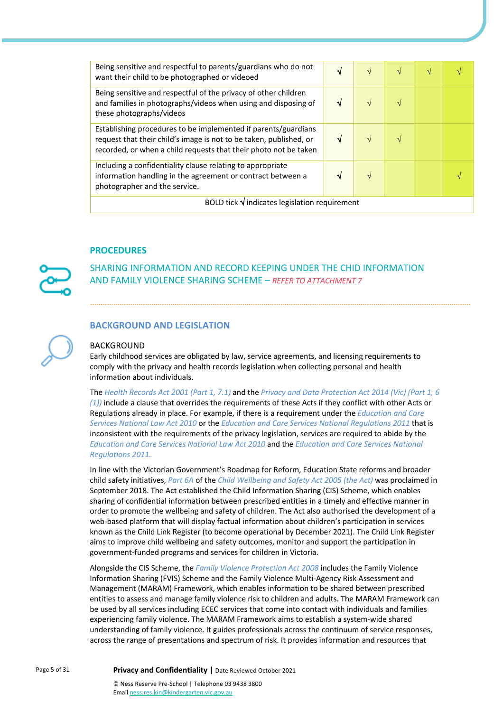| Being sensitive and respectful to parents/guardians who do not<br>want their child to be photographed or videoed                                                                                         | √ |  | V             | N |  |  |  |
|----------------------------------------------------------------------------------------------------------------------------------------------------------------------------------------------------------|---|--|---------------|---|--|--|--|
| Being sensitive and respectful of the privacy of other children<br>and families in photographs/videos when using and disposing of<br>these photographs/videos                                            |   |  | $\mathcal{N}$ |   |  |  |  |
| Establishing procedures to be implemented if parents/guardians<br>request that their child's image is not to be taken, published, or<br>recorded, or when a child requests that their photo not be taken |   |  |               |   |  |  |  |
| Including a confidentiality clause relating to appropriate<br>information handling in the agreement or contract between a<br>photographer and the service.                                               |   |  |               |   |  |  |  |
| BOLD tick $\sqrt{}$ indicates legislation requirement                                                                                                                                                    |   |  |               |   |  |  |  |

### **PROCEDURES**

SHARING INFORMATION AND RECORD KEEPING UNDER THE CHID INFORMATION AND FAMILY VIOLENCE SHARING SCHEME – *REFER TO ATTACHMENT 7*

# **BACKGROUND AND LEGISLATION**

#### BACKGROUND

Early childhood services are obligated by law, service agreements, and licensing requirements to comply with the privacy and health records legislation when collecting personal and health information about individuals.

The *Health Records Act 2001 (Part 1, 7.1)* and the *Privacy and Data Protection Act 2014 (Vic) (Part 1, 6 (1))* include a clause that overrides the requirements of these Acts if they conflict with other Acts or Regulations already in place. For example, if there is a requirement under the *Education and Care Services National Law Act 2010* or the *Education and Care Services National Regulations 2011* that is inconsistent with the requirements of the privacy legislation, services are required to abide by the *Education and Care Services National Law Act 2010* and the *Education and Care Services National Regulations 2011.*

In line with the Victorian Government's Roadmap for Reform, Education State reforms and broader child safety initiatives, *Part 6A* of the *Child Wellbeing and Safety Act 2005 (the Act)* was proclaimed in September 2018. The Act established the Child Information Sharing (CIS) Scheme, which enables sharing of confidential information between prescribed entities in a timely and effective manner in order to promote the wellbeing and safety of children. The Act also authorised the development of a web-based platform that will display factual information about children's participation in services known as the Child Link Register (to become operational by December 2021). The Child Link Register aims to improve child wellbeing and safety outcomes, monitor and support the participation in government-funded programs and services for children in Victoria.

Alongside the CIS Scheme, the *Family Violence Protection Act 2008* includes the Family Violence Information Sharing (FVIS) Scheme and the Family Violence Multi-Agency Risk Assessment and Management (MARAM) Framework, which enables information to be shared between prescribed entities to assess and manage family violence risk to children and adults. The MARAM Framework can be used by all services including ECEC services that come into contact with individuals and families experiencing family violence. The MARAM Framework aims to establish a system-wide shared understanding of family violence. It guides professionals across the continuum of service responses, across the range of presentations and spectrum of risk. It provides information and resources that

Page 5 of 31 **Privacy and Confidentiality |** Date Reviewed October 2021

© Ness Reserve Pre-School | Telephone 03 9438 3800 Email ness.res.kin@kindergarten.vic.gov.au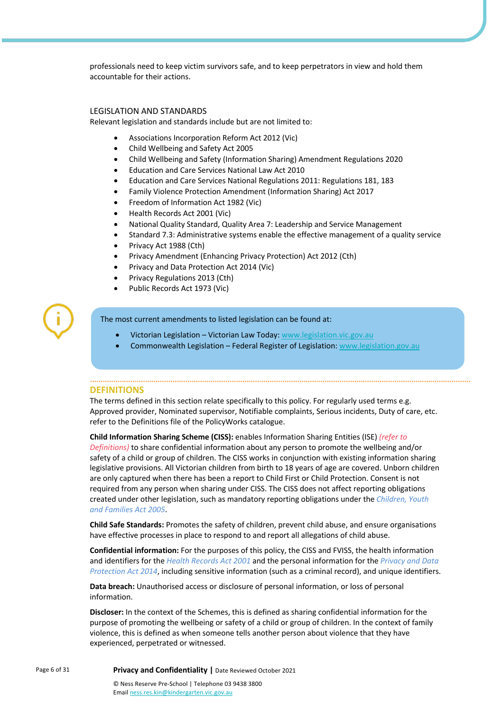professionals need to keep victim survivors safe, and to keep perpetrators in view and hold them accountable for their actions.

#### LEGISLATION AND STANDARDS

Relevant legislation and standards include but are not limited to:

- Associations Incorporation Reform Act 2012 (Vic)
- Child Wellbeing and Safety Act 2005
- Child Wellbeing and Safety (Information Sharing) Amendment Regulations 2020
- Education and Care Services National Law Act 2010
- Education and Care Services National Regulations 2011: Regulations 181, 183
- Family Violence Protection Amendment (Information Sharing) Act 2017
- Freedom of Information Act 1982 (Vic)
- Health Records Act 2001 (Vic)
- National Quality Standard, Quality Area 7: Leadership and Service Management
- Standard 7.3: Administrative systems enable the effective management of a quality service
- Privacy Act 1988 (Cth)
- Privacy Amendment (Enhancing Privacy Protection) Act 2012 (Cth)
- Privacy and Data Protection Act 2014 (Vic)
- Privacy Regulations 2013 (Cth)
- Public Records Act 1973 (Vic)

#### The most current amendments to listed legislation can be found at:

- Victorian Legislation Victorian Law Today: www.legislation.vic.gov.au
- Commonwealth Legislation Federal Register of Legislation: www.legislation.gov.au

#### **DEFINITIONS**

The terms defined in this section relate specifically to this policy. For regularly used terms e.g. Approved provider, Nominated supervisor, Notifiable complaints, Serious incidents, Duty of care, etc. refer to the Definitions file of the PolicyWorks catalogue.

**Child Information Sharing Scheme (CISS):** enables Information Sharing Entities (ISE) *(refer to Definitions)* to share confidential information about any person to promote the wellbeing and/or safety of a child or group of children. The CISS works in conjunction with existing information sharing legislative provisions. All Victorian children from birth to 18 years of age are covered. Unborn children are only captured when there has been a report to Child First or Child Protection. Consent is not required from any person when sharing under CISS. The CISS does not affect reporting obligations created under other legislation, such as mandatory reporting obligations under the *Children, Youth and Families Act 2005*.

**Child Safe Standards:** Promotes the safety of children, prevent child abuse, and ensure organisations have effective processes in place to respond to and report all allegations of child abuse.

**Confidential information:** For the purposes of this policy, the CISS and FVISS, the health information and identifiers for the *Health Records Act 2001* and the personal information for the *Privacy and Data Protection Act 2014*, including sensitive information (such as a criminal record), and unique identifiers.

**Data breach:** Unauthorised access or disclosure of personal information, or loss of personal information.

**Discloser:** In the context of the Schemes, this is defined as sharing confidential information for the purpose of promoting the wellbeing or safety of a child or group of children. In the context of family violence, this is defined as when someone tells another person about violence that they have experienced, perpetrated or witnessed.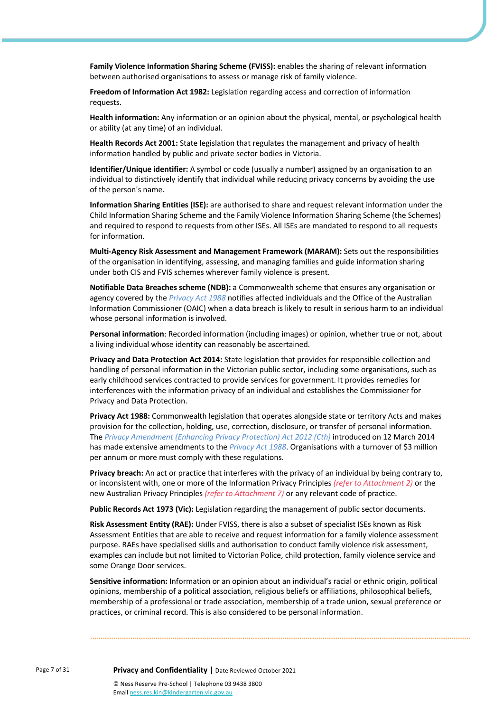**Family Violence Information Sharing Scheme (FVISS):** enables the sharing of relevant information between authorised organisations to assess or manage risk of family violence.

**Freedom of Information Act 1982:** Legislation regarding access and correction of information requests.

**Health information:** Any information or an opinion about the physical, mental, or psychological health or ability (at any time) of an individual.

**Health Records Act 2001:** State legislation that regulates the management and privacy of health information handled by public and private sector bodies in Victoria.

**Identifier/Unique identifier:** A symbol or code (usually a number) assigned by an organisation to an individual to distinctively identify that individual while reducing privacy concerns by avoiding the use of the person's name.

**Information Sharing Entities (ISE):** are authorised to share and request relevant information under the Child Information Sharing Scheme and the Family Violence Information Sharing Scheme (the Schemes) and required to respond to requests from other ISEs. All ISEs are mandated to respond to all requests for information.

**Multi-Agency Risk Assessment and Management Framework (MARAM):** Sets out the responsibilities of the organisation in identifying, assessing, and managing families and guide information sharing under both CIS and FVIS schemes wherever family violence is present.

**Notifiable Data Breaches scheme (NDB):** a Commonwealth scheme that ensures any organisation or agency covered by the *Privacy Act 1988* notifies affected individuals and the Office of the Australian Information Commissioner (OAIC) when a data breach is likely to result in serious harm to an individual whose personal information is involved.

**Personal information**: Recorded information (including images) or opinion, whether true or not, about a living individual whose identity can reasonably be ascertained.

**Privacy and Data Protection Act 2014:** State legislation that provides for responsible collection and handling of personal information in the Victorian public sector, including some organisations, such as early childhood services contracted to provide services for government. It provides remedies for interferences with the information privacy of an individual and establishes the Commissioner for Privacy and Data Protection.

**Privacy Act 1988:** Commonwealth legislation that operates alongside state or territory Acts and makes provision for the collection, holding, use, correction, disclosure, or transfer of personal information. The *Privacy Amendment (Enhancing Privacy Protection) Act 2012 (Cth)* introduced on 12 March 2014 has made extensive amendments to the *Privacy Act 1988*. Organisations with a turnover of \$3 million per annum or more must comply with these regulations.

**Privacy breach:** An act or practice that interferes with the privacy of an individual by being contrary to, or inconsistent with, one or more of the Information Privacy Principles *(refer to Attachment 2)* or the new Australian Privacy Principles *(refer to Attachment 7)* or any relevant code of practice.

**Public Records Act 1973 (Vic):** Legislation regarding the management of public sector documents.

**Risk Assessment Entity (RAE):** Under FVISS, there is also a subset of specialist ISEs known as Risk Assessment Entities that are able to receive and request information for a family violence assessment purpose. RAEs have specialised skills and authorisation to conduct family violence risk assessment, examples can include but not limited to Victorian Police, child protection, family violence service and some Orange Door services.

**Sensitive information:** Information or an opinion about an individual's racial or ethnic origin, political opinions, membership of a political association, religious beliefs or affiliations, philosophical beliefs, membership of a professional or trade association, membership of a trade union, sexual preference or practices, or criminal record. This is also considered to be personal information.

Page 7 of 31 **Privacy and Confidentiality |** Date Reviewed October 2021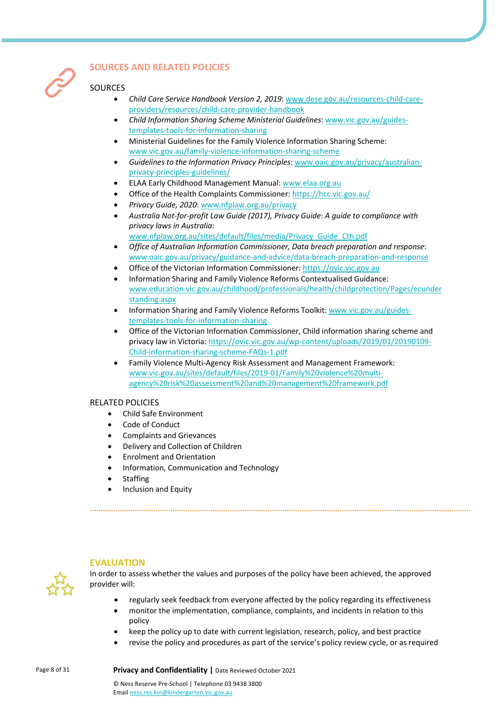

# **SOURCES AND RELATED POLICIES**

# **SOURCES**

- *Child Care Service Handbook Version 2, 2019*: www.dese.gov.au/resources-child-careproviders/resources/child-care-provider-handbook
- *Child Information Sharing Scheme Ministerial Guidelines*: www.vic.gov.au/guidestemplates-tools-for-information-sharing
- Ministerial Guidelines for the Family Violence Information Sharing Scheme: www.vic.gov.au/family-violence-information-sharing-scheme
- *Guidelines to the Information Privacy Principles*: www.oaic.gov.au/privacy/australianprivacy-principles-guidelines/
- ELAA Early Childhood Management Manual: www.elaa.org.au
- Office of the Health Complaints Commissioner: https://hcc.vic.gov.au/
- *Privacy Guide, 2020*: www.nfplaw.org.au/privacy
- *Australia Not-for-profit Law Guide (2017), Privacy Guide*: *A guide to compliance with privacy laws in Australia*:

www.nfplaw.org.au/sites/default/files/media/Privacy\_Guide\_Cth.pdf

- *Office of Australian Information Commissioner, Data breach preparation and response*: www.oaic.gov.au/privacy/guidance-and-advice/data-breach-preparation-and-response
- Office of the Victorian Information Commissioner: https://ovic.vic.gov.au
- Information Sharing and Family Violence Reforms Contextualised Guidance: www.education.vic.gov.au/childhood/professionals/health/childprotection/Pages/ecunder standing.aspx
- Information Sharing and Family Violence Reforms Toolkit: www.vic.gov.au/guidestemplates-tools-for-information-sharing
- Office of the Victorian Information Commissioner, Child information sharing scheme and privacy law in Victoria: https://ovic.vic.gov.au/wp-content/uploads/2019/01/20190109- Child-information-sharing-scheme-FAQs-1.pdf
- Family Violence Multi-Agency Risk Assessment and Management Framework: www.vic.gov.au/sites/default/files/2019-01/Family%20violence%20multiagency%20risk%20assessment%20and%20management%20framework.pdf

# RELATED POLICIES

- Child Safe Environment
- Code of Conduct
- Complaints and Grievances
- Delivery and Collection of Children
- Enrolment and Orientation
- Information, Communication and Technology
- **Staffing**
- Inclusion and Equity



# **EVALUATION**

In order to assess whether the values and purposes of the policy have been achieved, the approved provider will:

- regularly seek feedback from everyone affected by the policy regarding its effectiveness
- monitor the implementation, compliance, complaints, and incidents in relation to this policy
- keep the policy up to date with current legislation, research, policy, and best practice
- revise the policy and procedures as part of the service's policy review cycle, or as required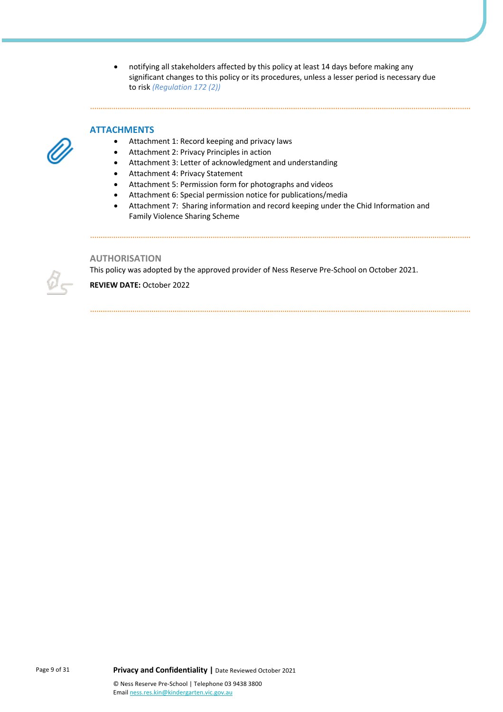• notifying all stakeholders affected by this policy at least 14 days before making any significant changes to this policy or its procedures, unless a lesser period is necessary due to risk *(Regulation 172 (2))*

#### **ATTACHMENTS**

- Attachment 1: Record keeping and privacy laws
- Attachment 2: Privacy Principles in action
- Attachment 3: Letter of acknowledgment and understanding
- Attachment 4: Privacy Statement
- Attachment 5: Permission form for photographs and videos
- Attachment 6: Special permission notice for publications/media
- Attachment 7: Sharing information and record keeping under the Chid Information and Family Violence Sharing Scheme

#### **AUTHORISATION**

This policy was adopted by the approved provider of Ness Reserve Pre-School on October 2021.

**REVIEW DATE:** October 2022

Page 9 of 31 **Privacy and Confidentiality |** Date Reviewed October 2021 © Ness Reserve Pre-School | Telephone 03 9438 3800 Email ness.res.kin@kindergarten.vic.gov.au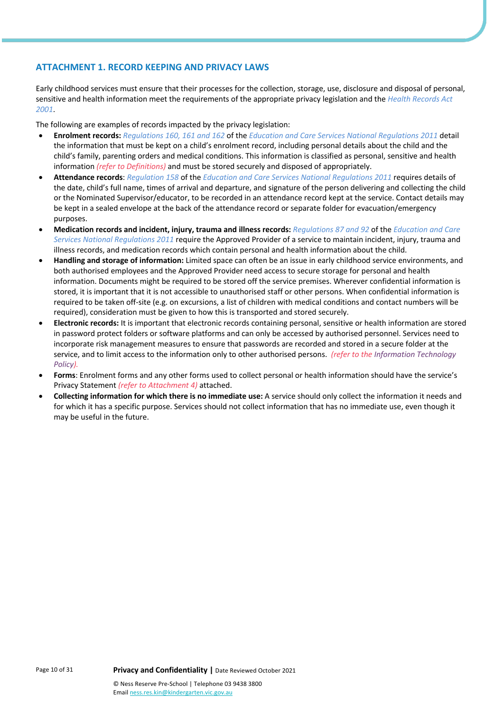# **ATTACHMENT 1. RECORD KEEPING AND PRIVACY LAWS**

Early childhood services must ensure that their processes for the collection, storage, use, disclosure and disposal of personal, sensitive and health information meet the requirements of the appropriate privacy legislation and the *Health Records Act 2001*.

The following are examples of records impacted by the privacy legislation:

- **Enrolment records:** *Regulations 160, 161 and 162* of the *Education and Care Services National Regulations 2011* detail the information that must be kept on a child's enrolment record, including personal details about the child and the child's family, parenting orders and medical conditions. This information is classified as personal, sensitive and health information *(refer to Definitions)* and must be stored securely and disposed of appropriately.
- **Attendance records**: *Regulation 158* of the *Education and Care Services National Regulations 2011* requires details of the date, child's full name, times of arrival and departure, and signature of the person delivering and collecting the child or the Nominated Supervisor/educator, to be recorded in an attendance record kept at the service. Contact details may be kept in a sealed envelope at the back of the attendance record or separate folder for evacuation/emergency purposes.
- **Medication records and incident, injury, trauma and illness records:** *Regulations 87 and 92* of the *Education and Care Services National Regulations 2011* require the Approved Provider of a service to maintain incident, injury, trauma and illness records, and medication records which contain personal and health information about the child.
- **Handling and storage of information:** Limited space can often be an issue in early childhood service environments, and both authorised employees and the Approved Provider need access to secure storage for personal and health information. Documents might be required to be stored off the service premises. Wherever confidential information is stored, it is important that it is not accessible to unauthorised staff or other persons. When confidential information is required to be taken off-site (e.g. on excursions, a list of children with medical conditions and contact numbers will be required), consideration must be given to how this is transported and stored securely.
- **Electronic records:** It is important that electronic records containing personal, sensitive or health information are stored in password protect folders or software platforms and can only be accessed by authorised personnel. Services need to incorporate risk management measures to ensure that passwords are recorded and stored in a secure folder at the service, and to limit access to the information only to other authorised persons. *(refer to the Information Technology Policy).*
- **Forms**: Enrolment forms and any other forms used to collect personal or health information should have the service's Privacy Statement *(refer to Attachment 4)* attached.
- **Collecting information for which there is no immediate use:** A service should only collect the information it needs and for which it has a specific purpose. Services should not collect information that has no immediate use, even though it may be useful in the future.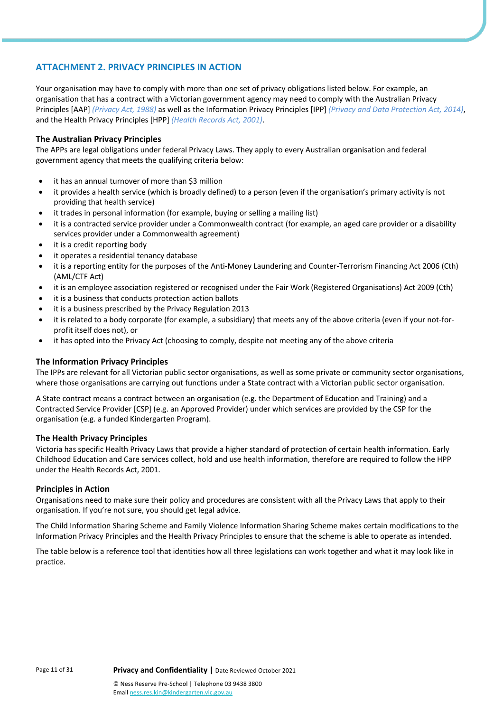# **ATTACHMENT 2. PRIVACY PRINCIPLES IN ACTION**

Your organisation may have to comply with more than one set of privacy obligations listed below. For example, an organisation that has a contract with a Victorian government agency may need to comply with the Australian Privacy Principles [AAP] *(Privacy Act, 1988)* as well as the Information Privacy Principles [IPP] *(Privacy and Data Protection Act, 2014)*, and the Health Privacy Principles [HPP] *(Health Records Act, 2001)*.

## **The Australian Privacy Principles**

The APPs are legal obligations under federal Privacy Laws. They apply to every Australian organisation and federal government agency that meets the qualifying criteria below:

- it has an annual turnover of more than \$3 million
- it provides a health service (which is broadly defined) to a person (even if the organisation's primary activity is not providing that health service)
- it trades in personal information (for example, buying or selling a mailing list)
- it is a contracted service provider under a Commonwealth contract (for example, an aged care provider or a disability services provider under a Commonwealth agreement)
- it is a credit reporting body
- it operates a residential tenancy database
- it is a reporting entity for the purposes of the Anti-Money Laundering and Counter-Terrorism Financing Act 2006 (Cth) (AML/CTF Act)
- it is an employee association registered or recognised under the Fair Work (Registered Organisations) Act 2009 (Cth)
- it is a business that conducts protection action ballots
- it is a business prescribed by the Privacy Regulation 2013
- it is related to a body corporate (for example, a subsidiary) that meets any of the above criteria (even if your not-forprofit itself does not), or
- it has opted into the Privacy Act (choosing to comply, despite not meeting any of the above criteria

#### **The Information Privacy Principles**

The IPPs are relevant for all Victorian public sector organisations, as well as some private or community sector organisations, where those organisations are carrying out functions under a State contract with a Victorian public sector organisation.

A State contract means a contract between an organisation (e.g. the Department of Education and Training) and a Contracted Service Provider [CSP] (e.g. an Approved Provider) under which services are provided by the CSP for the organisation (e.g. a funded Kindergarten Program).

#### **The Health Privacy Principles**

Victoria has specific Health Privacy Laws that provide a higher standard of protection of certain health information. Early Childhood Education and Care services collect, hold and use health information, therefore are required to follow the HPP under the Health Records Act, 2001.

#### **Principles in Action**

Organisations need to make sure their policy and procedures are consistent with all the Privacy Laws that apply to their organisation. If you're not sure, you should get legal advice.

The Child Information Sharing Scheme and Family Violence Information Sharing Scheme makes certain modifications to the Information Privacy Principles and the Health Privacy Principles to ensure that the scheme is able to operate as intended.

The table below is a reference tool that identities how all three legislations can work together and what it may look like in practice.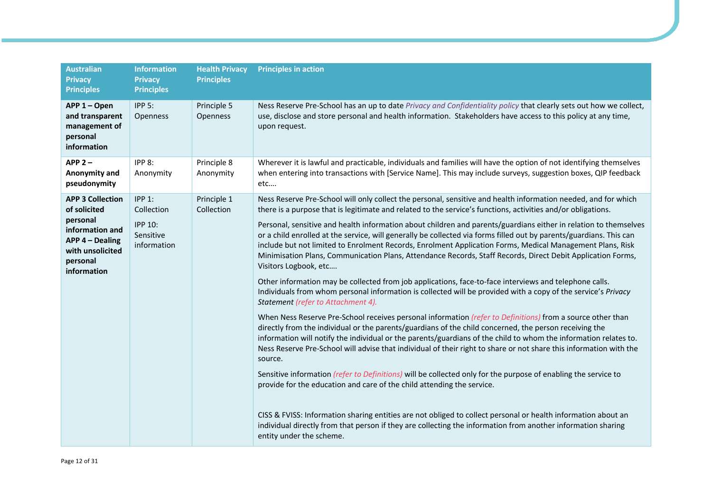| <b>Australian</b><br><b>Privacy</b><br><b>Principles</b>                                                                                 | <b>Information</b><br><b>Privacy</b><br><b>Principles</b>                 | <b>Health Privacy</b><br><b>Principles</b> | <b>Principles in action</b>                                                                                                                                                                                                                                                                                                                                                                                                                                                                                                                                                                                                                                                                                                                                                                                                                                                                                                                                                                                                                                                                                                                                                                                                                                                                                                                                                                                                                                                                                                                                                                                                                                              |
|------------------------------------------------------------------------------------------------------------------------------------------|---------------------------------------------------------------------------|--------------------------------------------|--------------------------------------------------------------------------------------------------------------------------------------------------------------------------------------------------------------------------------------------------------------------------------------------------------------------------------------------------------------------------------------------------------------------------------------------------------------------------------------------------------------------------------------------------------------------------------------------------------------------------------------------------------------------------------------------------------------------------------------------------------------------------------------------------------------------------------------------------------------------------------------------------------------------------------------------------------------------------------------------------------------------------------------------------------------------------------------------------------------------------------------------------------------------------------------------------------------------------------------------------------------------------------------------------------------------------------------------------------------------------------------------------------------------------------------------------------------------------------------------------------------------------------------------------------------------------------------------------------------------------------------------------------------------------|
| APP 1 - Open<br>and transparent<br>management of<br>personal<br>information                                                              | $IPP5$ :<br>Openness                                                      | Principle 5<br>Openness                    | Ness Reserve Pre-School has an up to date Privacy and Confidentiality policy that clearly sets out how we collect,<br>use, disclose and store personal and health information. Stakeholders have access to this policy at any time,<br>upon request.                                                                                                                                                                                                                                                                                                                                                                                                                                                                                                                                                                                                                                                                                                                                                                                                                                                                                                                                                                                                                                                                                                                                                                                                                                                                                                                                                                                                                     |
| APP <sub>2</sub><br>Anonymity and<br>pseudonymity                                                                                        | IPP 8:<br>Anonymity                                                       | Principle 8<br>Anonymity                   | Wherever it is lawful and practicable, individuals and families will have the option of not identifying themselves<br>when entering into transactions with [Service Name]. This may include surveys, suggestion boxes, QIP feedback<br>etc                                                                                                                                                                                                                                                                                                                                                                                                                                                                                                                                                                                                                                                                                                                                                                                                                                                                                                                                                                                                                                                                                                                                                                                                                                                                                                                                                                                                                               |
| <b>APP 3 Collection</b><br>of solicited<br>personal<br>information and<br>APP 4 - Dealing<br>with unsolicited<br>personal<br>information | <b>IPP 1:</b><br>Collection<br><b>IPP 10:</b><br>Sensitive<br>information | Principle 1<br>Collection                  | Ness Reserve Pre-School will only collect the personal, sensitive and health information needed, and for which<br>there is a purpose that is legitimate and related to the service's functions, activities and/or obligations.<br>Personal, sensitive and health information about children and parents/guardians either in relation to themselves<br>or a child enrolled at the service, will generally be collected via forms filled out by parents/guardians. This can<br>include but not limited to Enrolment Records, Enrolment Application Forms, Medical Management Plans, Risk<br>Minimisation Plans, Communication Plans, Attendance Records, Staff Records, Direct Debit Application Forms,<br>Visitors Logbook, etc<br>Other information may be collected from job applications, face-to-face interviews and telephone calls.<br>Individuals from whom personal information is collected will be provided with a copy of the service's Privacy<br>Statement (refer to Attachment 4).<br>When Ness Reserve Pre-School receives personal information (refer to Definitions) from a source other than<br>directly from the individual or the parents/guardians of the child concerned, the person receiving the<br>information will notify the individual or the parents/guardians of the child to whom the information relates to.<br>Ness Reserve Pre-School will advise that individual of their right to share or not share this information with the<br>source.<br>Sensitive information (refer to Definitions) will be collected only for the purpose of enabling the service to<br>provide for the education and care of the child attending the service. |
|                                                                                                                                          |                                                                           |                                            | CISS & FVISS: Information sharing entities are not obliged to collect personal or health information about an<br>individual directly from that person if they are collecting the information from another information sharing<br>entity under the scheme.                                                                                                                                                                                                                                                                                                                                                                                                                                                                                                                                                                                                                                                                                                                                                                                                                                                                                                                                                                                                                                                                                                                                                                                                                                                                                                                                                                                                                |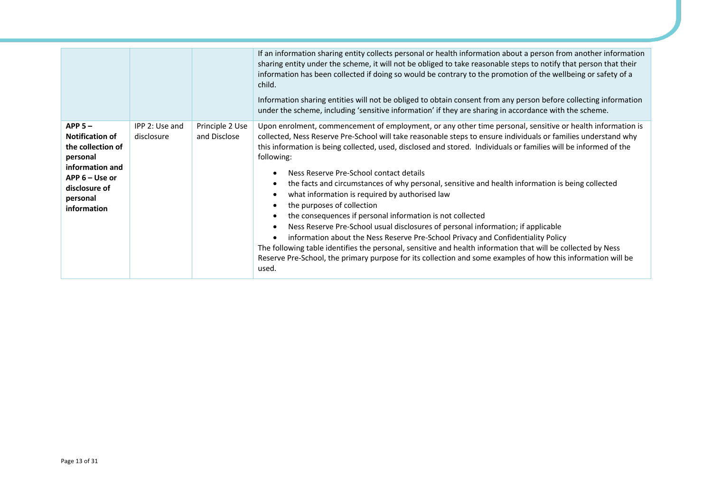|                                                                                                                                                       |                              |                                 | If an information sharing entity collects personal or health information about a person from another information<br>sharing entity under the scheme, it will not be obliged to take reasonable steps to notify that person that their<br>information has been collected if doing so would be contrary to the promotion of the wellbeing or safety of a<br>child.<br>Information sharing entities will not be obliged to obtain consent from any person before collecting information<br>under the scheme, including 'sensitive information' if they are sharing in accordance with the scheme.                                                                                                                                                                                                                                                                                                                                                                                                                                                                              |
|-------------------------------------------------------------------------------------------------------------------------------------------------------|------------------------------|---------------------------------|-----------------------------------------------------------------------------------------------------------------------------------------------------------------------------------------------------------------------------------------------------------------------------------------------------------------------------------------------------------------------------------------------------------------------------------------------------------------------------------------------------------------------------------------------------------------------------------------------------------------------------------------------------------------------------------------------------------------------------------------------------------------------------------------------------------------------------------------------------------------------------------------------------------------------------------------------------------------------------------------------------------------------------------------------------------------------------|
| $APP 5 -$<br><b>Notification of</b><br>the collection of<br>personal<br>information and<br>APP 6 – Use or<br>disclosure of<br>personal<br>information | IPP 2: Use and<br>disclosure | Principle 2 Use<br>and Disclose | Upon enrolment, commencement of employment, or any other time personal, sensitive or health information is<br>collected, Ness Reserve Pre-School will take reasonable steps to ensure individuals or families understand why<br>this information is being collected, used, disclosed and stored. Individuals or families will be informed of the<br>following:<br>Ness Reserve Pre-School contact details<br>the facts and circumstances of why personal, sensitive and health information is being collected<br>what information is required by authorised law<br>the purposes of collection<br>the consequences if personal information is not collected<br>Ness Reserve Pre-School usual disclosures of personal information; if applicable<br>information about the Ness Reserve Pre-School Privacy and Confidentiality Policy<br>The following table identifies the personal, sensitive and health information that will be collected by Ness<br>Reserve Pre-School, the primary purpose for its collection and some examples of how this information will be<br>used. |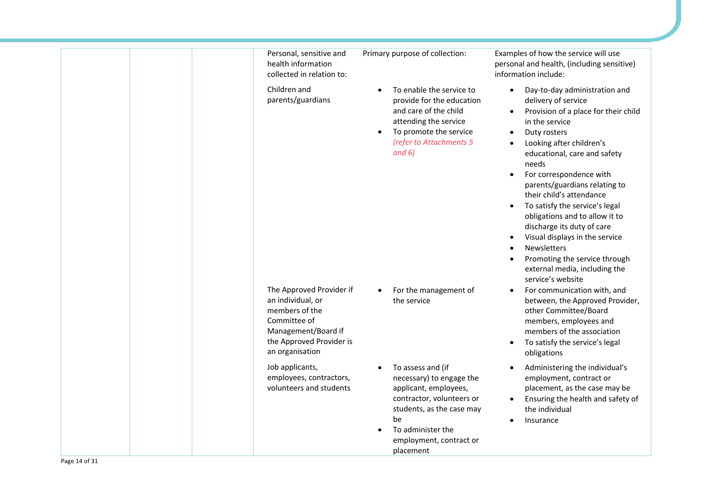| Personal, sensitive and<br>health information<br>collected in relation to:                                                                            | Primary purpose of collection:                                                                                                                                                                      | Examples of how the service will use<br>personal and health, (including sensitive)<br>information include:                                                                                                                                                                                                                                                                                                                                                                                                                                                                                                                 |
|-------------------------------------------------------------------------------------------------------------------------------------------------------|-----------------------------------------------------------------------------------------------------------------------------------------------------------------------------------------------------|----------------------------------------------------------------------------------------------------------------------------------------------------------------------------------------------------------------------------------------------------------------------------------------------------------------------------------------------------------------------------------------------------------------------------------------------------------------------------------------------------------------------------------------------------------------------------------------------------------------------------|
| Children and<br>parents/guardians                                                                                                                     | To enable the service to<br>$\bullet$<br>provide for the education<br>and care of the child<br>attending the service<br>To promote the service<br>$\bullet$<br>(refer to Attachments 5<br>and $6)$  | Day-to-day administration and<br>delivery of service<br>Provision of a place for their child<br>$\bullet$<br>in the service<br>Duty rosters<br>$\bullet$<br>Looking after children's<br>$\bullet$<br>educational, care and safety<br>needs<br>For correspondence with<br>parents/guardians relating to<br>their child's attendance<br>To satisfy the service's legal<br>$\bullet$<br>obligations and to allow it to<br>discharge its duty of care<br>Visual displays in the service<br>$\bullet$<br><b>Newsletters</b><br>$\bullet$<br>Promoting the service through<br>external media, including the<br>service's website |
| The Approved Provider if<br>an individual, or<br>members of the<br>Committee of<br>Management/Board if<br>the Approved Provider is<br>an organisation | For the management of<br>the service                                                                                                                                                                | For communication with, and<br>between, the Approved Provider,<br>other Committee/Board<br>members, employees and<br>members of the association<br>To satisfy the service's legal<br>$\bullet$<br>obligations                                                                                                                                                                                                                                                                                                                                                                                                              |
| Job applicants,<br>employees, contractors,<br>volunteers and students                                                                                 | To assess and (if<br>necessary) to engage the<br>applicant, employees,<br>contractor, volunteers or<br>students, as the case may<br>be<br>To administer the<br>employment, contract or<br>placement | Administering the individual's<br>employment, contract or<br>placement, as the case may be<br>Ensuring the health and safety of<br>the individual<br>Insurance                                                                                                                                                                                                                                                                                                                                                                                                                                                             |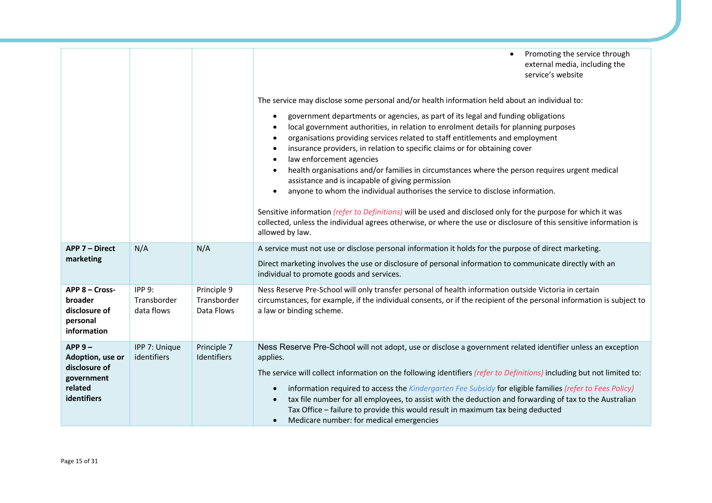|                                                                                        |                                    |                                          | Promoting the service through<br>$\bullet$<br>external media, including the<br>service's website<br>The service may disclose some personal and/or health information held about an individual to:<br>government departments or agencies, as part of its legal and funding obligations<br>$\bullet$<br>local government authorities, in relation to enrolment details for planning purposes<br>organisations providing services related to staff entitlements and employment<br>$\bullet$<br>insurance providers, in relation to specific claims or for obtaining cover<br>law enforcement agencies<br>$\bullet$<br>health organisations and/or families in circumstances where the person requires urgent medical<br>$\bullet$<br>assistance and is incapable of giving permission<br>anyone to whom the individual authorises the service to disclose information.<br>$\bullet$<br>Sensitive information (refer to Definitions) will be used and disclosed only for the purpose for which it was<br>collected, unless the individual agrees otherwise, or where the use or disclosure of this sensitive information is<br>allowed by law. |
|----------------------------------------------------------------------------------------|------------------------------------|------------------------------------------|--------------------------------------------------------------------------------------------------------------------------------------------------------------------------------------------------------------------------------------------------------------------------------------------------------------------------------------------------------------------------------------------------------------------------------------------------------------------------------------------------------------------------------------------------------------------------------------------------------------------------------------------------------------------------------------------------------------------------------------------------------------------------------------------------------------------------------------------------------------------------------------------------------------------------------------------------------------------------------------------------------------------------------------------------------------------------------------------------------------------------------------------|
| <b>APP 7 - Direct</b><br>marketing                                                     | N/A                                | N/A                                      | A service must not use or disclose personal information it holds for the purpose of direct marketing.<br>Direct marketing involves the use or disclosure of personal information to communicate directly with an<br>individual to promote goods and services.                                                                                                                                                                                                                                                                                                                                                                                                                                                                                                                                                                                                                                                                                                                                                                                                                                                                              |
| APP 8 - Cross-<br>broader<br>disclosure of<br>personal<br>information                  | IPP9:<br>Transborder<br>data flows | Principle 9<br>Transborder<br>Data Flows | Ness Reserve Pre-School will only transfer personal of health information outside Victoria in certain<br>circumstances, for example, if the individual consents, or if the recipient of the personal information is subject to<br>a law or binding scheme.                                                                                                                                                                                                                                                                                                                                                                                                                                                                                                                                                                                                                                                                                                                                                                                                                                                                                 |
| $APP 9 -$<br>Adoption, use or<br>disclosure of<br>government<br>related<br>identifiers | IPP 7: Unique<br>identifiers       | Principle 7<br>Identifiers               | Ness Reserve Pre-School will not adopt, use or disclose a government related identifier unless an exception<br>applies.<br>The service will collect information on the following identifiers (refer to Definitions) including but not limited to:<br>information required to access the Kindergarten Fee Subsidy for eligible families (refer to Fees Policy)<br>$\bullet$<br>tax file number for all employees, to assist with the deduction and forwarding of tax to the Australian<br>$\bullet$<br>Tax Office - failure to provide this would result in maximum tax being deducted<br>Medicare number: for medical emergencies<br>$\bullet$                                                                                                                                                                                                                                                                                                                                                                                                                                                                                             |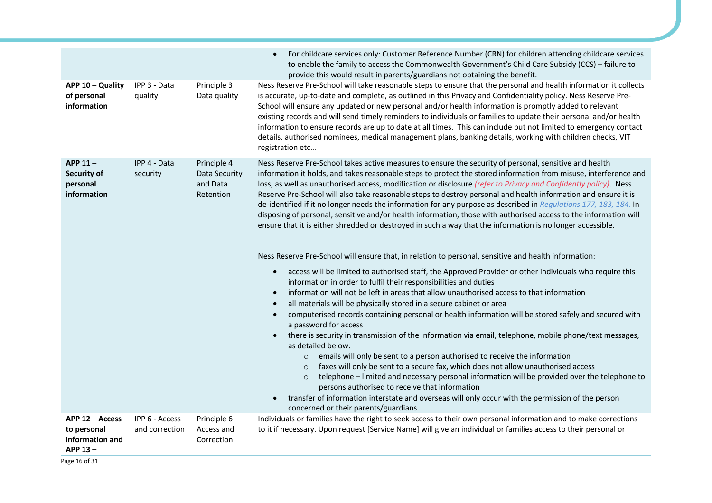|                                                              |                                  |                                                       | For childcare services only: Customer Reference Number (CRN) for children attending childcare services<br>to enable the family to access the Commonwealth Government's Child Care Subsidy (CCS) - failure to<br>provide this would result in parents/guardians not obtaining the benefit.                                                                                                                                                                                                                                                                                                                                                                                                                                                                                                                                                                                                                                                                                                                                                                                                                                                                                                                                                                                                                                                                                                                                                                                                                                                                                                                                                                                                                                                                                                                                                                                                                                                                                                                                                                                          |
|--------------------------------------------------------------|----------------------------------|-------------------------------------------------------|------------------------------------------------------------------------------------------------------------------------------------------------------------------------------------------------------------------------------------------------------------------------------------------------------------------------------------------------------------------------------------------------------------------------------------------------------------------------------------------------------------------------------------------------------------------------------------------------------------------------------------------------------------------------------------------------------------------------------------------------------------------------------------------------------------------------------------------------------------------------------------------------------------------------------------------------------------------------------------------------------------------------------------------------------------------------------------------------------------------------------------------------------------------------------------------------------------------------------------------------------------------------------------------------------------------------------------------------------------------------------------------------------------------------------------------------------------------------------------------------------------------------------------------------------------------------------------------------------------------------------------------------------------------------------------------------------------------------------------------------------------------------------------------------------------------------------------------------------------------------------------------------------------------------------------------------------------------------------------------------------------------------------------------------------------------------------------|
| APP 10 - Quality<br>of personal<br>information               | IPP 3 - Data<br>quality          | Principle 3<br>Data quality                           | Ness Reserve Pre-School will take reasonable steps to ensure that the personal and health information it collects<br>is accurate, up-to-date and complete, as outlined in this Privacy and Confidentiality policy. Ness Reserve Pre-<br>School will ensure any updated or new personal and/or health information is promptly added to relevant<br>existing records and will send timely reminders to individuals or families to update their personal and/or health<br>information to ensure records are up to date at all times. This can include but not limited to emergency contact<br>details, authorised nominees, medical management plans, banking details, working with children checks, VIT<br>registration etc                                                                                                                                                                                                                                                                                                                                                                                                                                                                                                                                                                                                                                                                                                                                                                                                                                                                                                                                                                                                                                                                                                                                                                                                                                                                                                                                                          |
| APP 11-<br>Security of<br>personal<br>information            | IPP 4 - Data<br>security         | Principle 4<br>Data Security<br>and Data<br>Retention | Ness Reserve Pre-School takes active measures to ensure the security of personal, sensitive and health<br>information it holds, and takes reasonable steps to protect the stored information from misuse, interference and<br>loss, as well as unauthorised access, modification or disclosure (refer to Privacy and Confidently policy). Ness<br>Reserve Pre-School will also take reasonable steps to destroy personal and health information and ensure it is<br>de-identified if it no longer needs the information for any purpose as described in Regulations 177, 183, 184. In<br>disposing of personal, sensitive and/or health information, those with authorised access to the information will<br>ensure that it is either shredded or destroyed in such a way that the information is no longer accessible.<br>Ness Reserve Pre-School will ensure that, in relation to personal, sensitive and health information:<br>access will be limited to authorised staff, the Approved Provider or other individuals who require this<br>$\bullet$<br>information in order to fulfil their responsibilities and duties<br>information will not be left in areas that allow unauthorised access to that information<br>all materials will be physically stored in a secure cabinet or area<br>computerised records containing personal or health information will be stored safely and secured with<br>$\bullet$<br>a password for access<br>there is security in transmission of the information via email, telephone, mobile phone/text messages,<br>as detailed below:<br>emails will only be sent to a person authorised to receive the information<br>$\circ$<br>faxes will only be sent to a secure fax, which does not allow unauthorised access<br>$\circ$<br>telephone - limited and necessary personal information will be provided over the telephone to<br>$\circ$<br>persons authorised to receive that information<br>transfer of information interstate and overseas will only occur with the permission of the person<br>concerned or their parents/guardians. |
| APP 12 - Access<br>to personal<br>information and<br>APP 13- | IPP 6 - Access<br>and correction | Principle 6<br>Access and<br>Correction               | Individuals or families have the right to seek access to their own personal information and to make corrections<br>to it if necessary. Upon request [Service Name] will give an individual or families access to their personal or                                                                                                                                                                                                                                                                                                                                                                                                                                                                                                                                                                                                                                                                                                                                                                                                                                                                                                                                                                                                                                                                                                                                                                                                                                                                                                                                                                                                                                                                                                                                                                                                                                                                                                                                                                                                                                                 |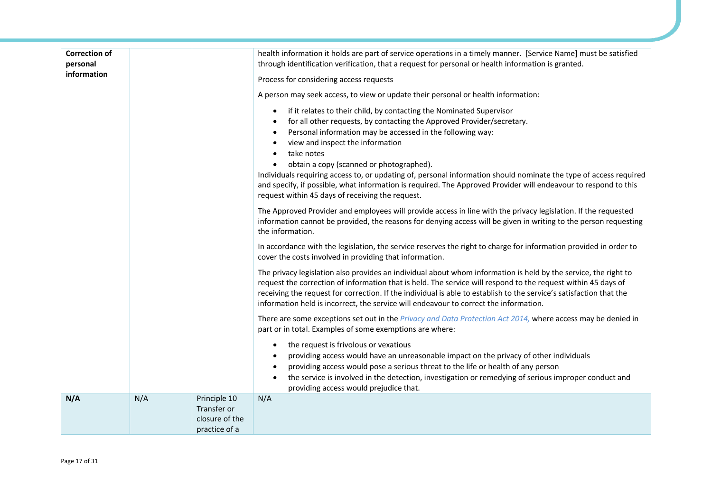| <b>Correction of</b><br>personal<br>information |     |                                                                | health information it holds are part of service operations in a timely manner. [Service Name] must be satisfied<br>through identification verification, that a request for personal or health information is granted.<br>Process for considering access requests<br>A person may seek access, to view or update their personal or health information:<br>if it relates to their child, by contacting the Nominated Supervisor<br>$\bullet$<br>for all other requests, by contacting the Approved Provider/secretary.<br>$\bullet$<br>Personal information may be accessed in the following way:<br>view and inspect the information<br>take notes<br>obtain a copy (scanned or photographed).<br>Individuals requiring access to, or updating of, personal information should nominate the type of access required<br>and specify, if possible, what information is required. The Approved Provider will endeavour to respond to this<br>request within 45 days of receiving the request.<br>The Approved Provider and employees will provide access in line with the privacy legislation. If the requested<br>information cannot be provided, the reasons for denying access will be given in writing to the person requesting<br>the information.<br>In accordance with the legislation, the service reserves the right to charge for information provided in order to<br>cover the costs involved in providing that information.<br>The privacy legislation also provides an individual about whom information is held by the service, the right to<br>request the correction of information that is held. The service will respond to the request within 45 days of<br>receiving the request for correction. If the individual is able to establish to the service's satisfaction that the<br>information held is incorrect, the service will endeavour to correct the information.<br>There are some exceptions set out in the Privacy and Data Protection Act 2014, where access may be denied in |
|-------------------------------------------------|-----|----------------------------------------------------------------|---------------------------------------------------------------------------------------------------------------------------------------------------------------------------------------------------------------------------------------------------------------------------------------------------------------------------------------------------------------------------------------------------------------------------------------------------------------------------------------------------------------------------------------------------------------------------------------------------------------------------------------------------------------------------------------------------------------------------------------------------------------------------------------------------------------------------------------------------------------------------------------------------------------------------------------------------------------------------------------------------------------------------------------------------------------------------------------------------------------------------------------------------------------------------------------------------------------------------------------------------------------------------------------------------------------------------------------------------------------------------------------------------------------------------------------------------------------------------------------------------------------------------------------------------------------------------------------------------------------------------------------------------------------------------------------------------------------------------------------------------------------------------------------------------------------------------------------------------------------------------------------------------------------------------------------------------------------------------------------------------------|
|                                                 |     |                                                                | part or in total. Examples of some exemptions are where:<br>the request is frivolous or vexatious<br>$\bullet$<br>providing access would have an unreasonable impact on the privacy of other individuals<br>providing access would pose a serious threat to the life or health of any person<br>the service is involved in the detection, investigation or remedying of serious improper conduct and<br>providing access would prejudice that.                                                                                                                                                                                                                                                                                                                                                                                                                                                                                                                                                                                                                                                                                                                                                                                                                                                                                                                                                                                                                                                                                                                                                                                                                                                                                                                                                                                                                                                                                                                                                          |
| N/A                                             | N/A | Principle 10<br>Transfer or<br>closure of the<br>practice of a | N/A                                                                                                                                                                                                                                                                                                                                                                                                                                                                                                                                                                                                                                                                                                                                                                                                                                                                                                                                                                                                                                                                                                                                                                                                                                                                                                                                                                                                                                                                                                                                                                                                                                                                                                                                                                                                                                                                                                                                                                                                     |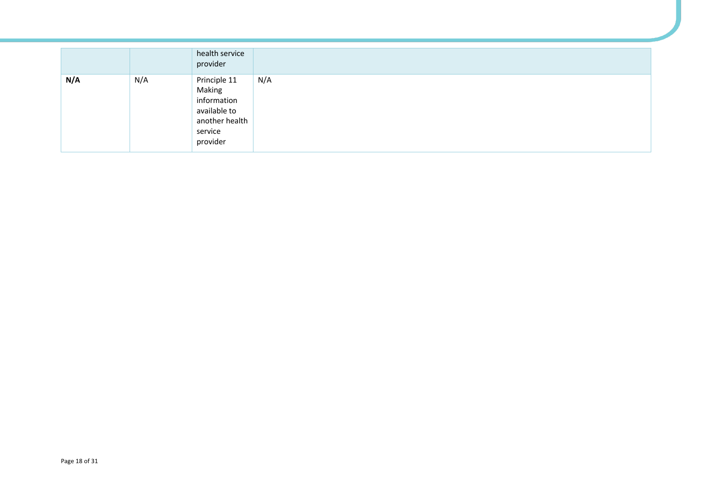|     |     | health service<br>provider                                                                     |     |
|-----|-----|------------------------------------------------------------------------------------------------|-----|
| N/A | N/A | Principle 11<br>Making<br>information<br>available to<br>another health<br>service<br>provider | N/A |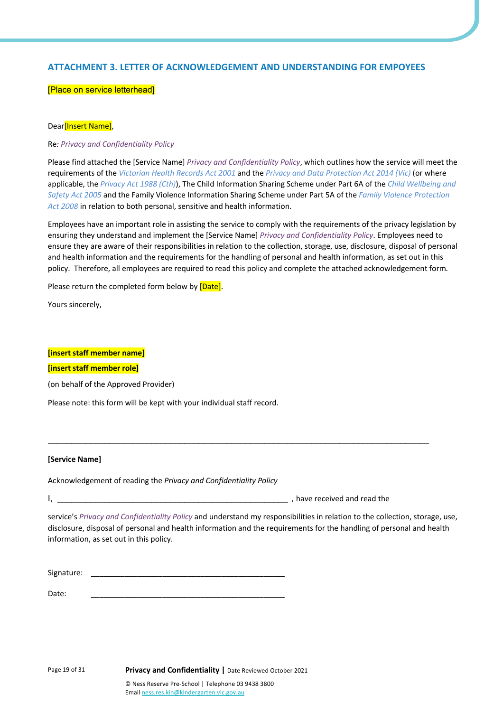# **ATTACHMENT 3. LETTER OF ACKNOWLEDGEMENT AND UNDERSTANDING FOR EMPOYEES**

#### [Place on service letterhead]

#### Dear**[Insert Name]**,

Re*: Privacy and Confidentiality Policy*

Please find attached the [Service Name] *Privacy and Confidentiality Policy*, which outlines how the service will meet the requirements of the *Victorian Health Records Act 2001* and the *Privacy and Data Protection Act 2014 (Vic)* (or where applicable, the *Privacy Act 1988 (Cth)*), The Child Information Sharing Scheme under Part 6A of the *Child Wellbeing and Safety Act 2005* and the Family Violence Information Sharing Scheme under Part 5A of the *Family Violence Protection Act 2008* in relation to both personal, sensitive and health information.

Employees have an important role in assisting the service to comply with the requirements of the privacy legislation by ensuring they understand and implement the [Service Name] *Privacy and Confidentiality Policy*. Employees need to ensure they are aware of their responsibilities in relation to the collection, storage, use, disclosure, disposal of personal and health information and the requirements for the handling of personal and health information, as set out in this policy. Therefore, all employees are required to read this policy and complete the attached acknowledgement form*.* 

Please return the completed form below by [Date].

Yours sincerely,

#### **[insert staff member name]**

#### **[insert staff member role]**

(on behalf of the Approved Provider)

Please note: this form will be kept with your individual staff record.

#### **[Service Name]**

Acknowledgement of reading the *Privacy and Confidentiality Policy*

, have received and read the

service's *Privacy and Confidentiality Policy* and understand my responsibilities in relation to the collection, storage, use, disclosure, disposal of personal and health information and the requirements for the handling of personal and health information, as set out in this policy.

\_\_\_\_\_\_\_\_\_\_\_\_\_\_\_\_\_\_\_\_\_\_\_\_\_\_\_\_\_\_\_\_\_\_\_\_\_\_\_\_\_\_\_\_\_\_\_\_\_\_\_\_\_\_\_\_\_\_\_\_\_\_\_\_\_\_\_\_\_\_\_\_\_\_\_\_\_\_\_\_\_

Signature:

Date: \_\_\_\_\_\_\_\_\_\_\_\_\_\_\_\_\_\_\_\_\_\_\_\_\_\_\_\_\_\_\_\_\_\_\_\_\_\_\_\_\_\_\_\_\_\_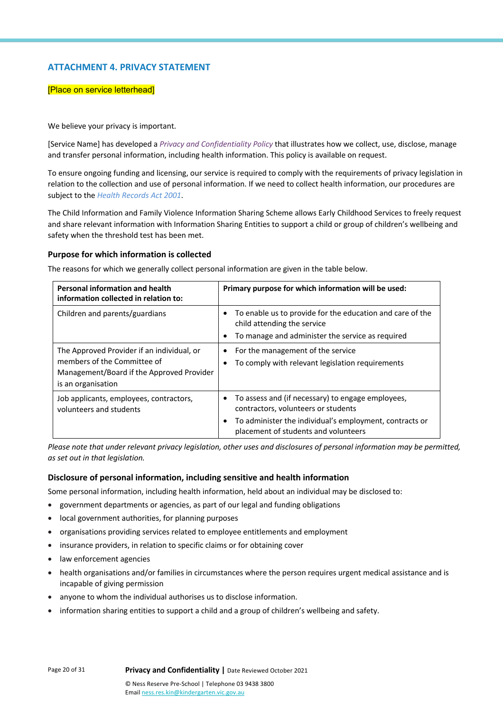# **ATTACHMENT 4. PRIVACY STATEMENT**

#### [Place on service letterhead]

We believe your privacy is important.

[Service Name] has developed a *Privacy and Confidentiality Policy* that illustrates how we collect, use, disclose, manage and transfer personal information, including health information. This policy is available on request.

To ensure ongoing funding and licensing, our service is required to comply with the requirements of privacy legislation in relation to the collection and use of personal information. If we need to collect health information, our procedures are subject to the *Health Records Act 2001*.

The Child Information and Family Violence Information Sharing Scheme allows Early Childhood Services to freely request and share relevant information with Information Sharing Entities to support a child or group of children's wellbeing and safety when the threshold test has been met.

#### **Purpose for which information is collected**

The reasons for which we generally collect personal information are given in the table below.

| Personal information and health<br>information collected in relation to:                                                                     | Primary purpose for which information will be used:                                                                                                                                         |  |
|----------------------------------------------------------------------------------------------------------------------------------------------|---------------------------------------------------------------------------------------------------------------------------------------------------------------------------------------------|--|
| Children and parents/guardians                                                                                                               | To enable us to provide for the education and care of the<br>child attending the service<br>To manage and administer the service as required                                                |  |
| The Approved Provider if an individual, or<br>members of the Committee of<br>Management/Board if the Approved Provider<br>is an organisation | For the management of the service<br>To comply with relevant legislation requirements                                                                                                       |  |
| Job applicants, employees, contractors,<br>volunteers and students                                                                           | To assess and (if necessary) to engage employees,<br>contractors, volunteers or students<br>To administer the individual's employment, contracts or<br>placement of students and volunteers |  |

*Please note that under relevant privacy legislation, other uses and disclosures of personal information may be permitted, as set out in that legislation.*

#### **Disclosure of personal information, including sensitive and health information**

Some personal information, including health information, held about an individual may be disclosed to:

- government departments or agencies, as part of our legal and funding obligations
- local government authorities, for planning purposes
- organisations providing services related to employee entitlements and employment
- insurance providers, in relation to specific claims or for obtaining cover
- law enforcement agencies
- health organisations and/or families in circumstances where the person requires urgent medical assistance and is incapable of giving permission
- anyone to whom the individual authorises us to disclose information.
- information sharing entities to support a child and a group of children's wellbeing and safety.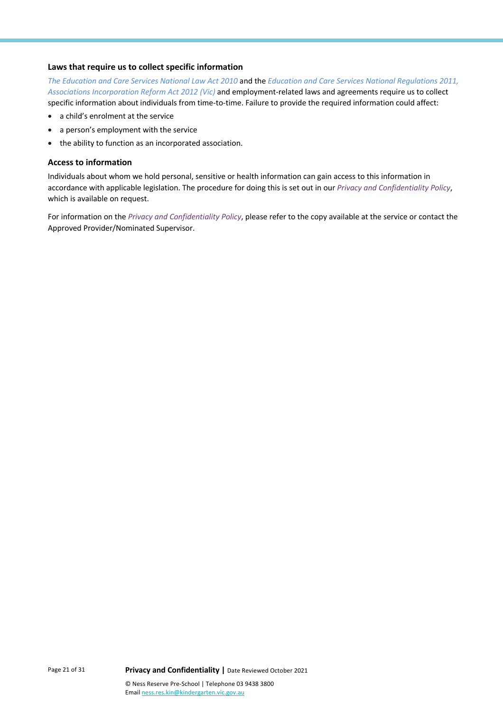#### **Laws that require us to collect specific information**

*The Education and Care Services National Law Act 2010* and the *Education and Care Services National Regulations 2011, Associations Incorporation Reform Act 2012 (Vic)* and employment-related laws and agreements require us to collect specific information about individuals from time-to-time. Failure to provide the required information could affect:

- a child's enrolment at the service
- a person's employment with the service
- the ability to function as an incorporated association.

# **Access to information**

Individuals about whom we hold personal, sensitive or health information can gain access to this information in accordance with applicable legislation. The procedure for doing this is set out in our *Privacy and Confidentiality Policy*, which is available on request.

For information on the *Privacy and Confidentiality Policy*, please refer to the copy available at the service or contact the Approved Provider/Nominated Supervisor.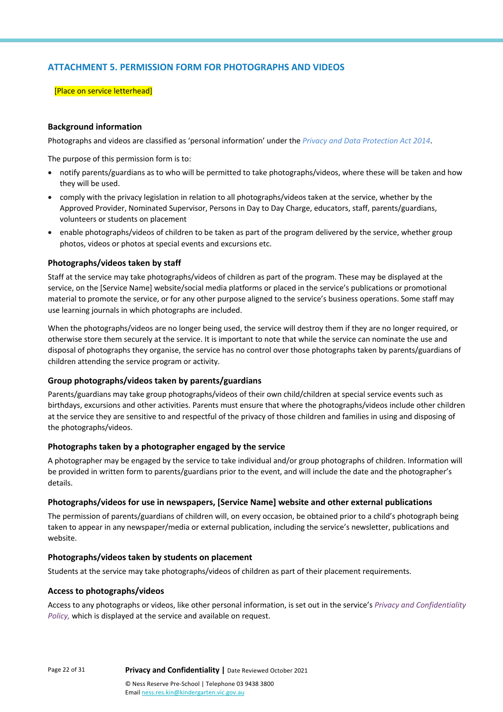# **ATTACHMENT 5. PERMISSION FORM FOR PHOTOGRAPHS AND VIDEOS**

#### [Place on service letterhead]

### **Background information**

Photographs and videos are classified as 'personal information' under the *Privacy and Data Protection Act 2014*.

The purpose of this permission form is to:

- notify parents/guardians as to who will be permitted to take photographs/videos, where these will be taken and how they will be used.
- comply with the privacy legislation in relation to all photographs/videos taken at the service, whether by the Approved Provider, Nominated Supervisor, Persons in Day to Day Charge, educators, staff, parents/guardians, volunteers or students on placement
- enable photographs/videos of children to be taken as part of the program delivered by the service, whether group photos, videos or photos at special events and excursions etc.

#### **Photographs/videos taken by staff**

Staff at the service may take photographs/videos of children as part of the program. These may be displayed at the service, on the [Service Name] website/social media platforms or placed in the service's publications or promotional material to promote the service, or for any other purpose aligned to the service's business operations. Some staff may use learning journals in which photographs are included.

When the photographs/videos are no longer being used, the service will destroy them if they are no longer required, or otherwise store them securely at the service. It is important to note that while the service can nominate the use and disposal of photographs they organise, the service has no control over those photographs taken by parents/guardians of children attending the service program or activity.

#### **Group photographs/videos taken by parents/guardians**

Parents/guardians may take group photographs/videos of their own child/children at special service events such as birthdays, excursions and other activities. Parents must ensure that where the photographs/videos include other children at the service they are sensitive to and respectful of the privacy of those children and families in using and disposing of the photographs/videos.

#### **Photographs taken by a photographer engaged by the service**

A photographer may be engaged by the service to take individual and/or group photographs of children. Information will be provided in written form to parents/guardians prior to the event, and will include the date and the photographer's details.

#### **Photographs/videos for use in newspapers, [Service Name] website and other external publications**

The permission of parents/guardians of children will, on every occasion, be obtained prior to a child's photograph being taken to appear in any newspaper/media or external publication, including the service's newsletter, publications and website.

#### **Photographs/videos taken by students on placement**

Students at the service may take photographs/videos of children as part of their placement requirements.

#### **Access to photographs/videos**

Access to any photographs or videos, like other personal information, is set out in the service's *Privacy and Confidentiality Policy,* which is displayed at the service and available on request.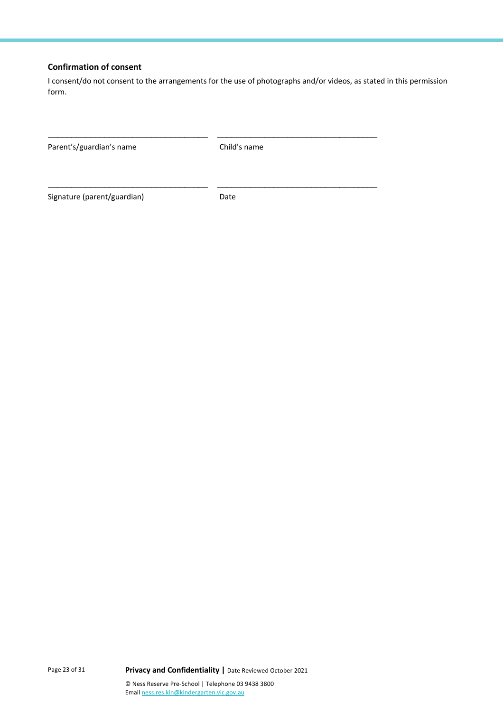# **Confirmation of consent**

I consent/do not consent to the arrangements for the use of photographs and/or videos, as stated in this permission form.

| Parent's/guardian's name    | Child's name |  |
|-----------------------------|--------------|--|
|                             |              |  |
| Signature (parent/guardian) | Date         |  |

Page 23 of 31 **Privacy and Confidentiality |** Date Reviewed October 2021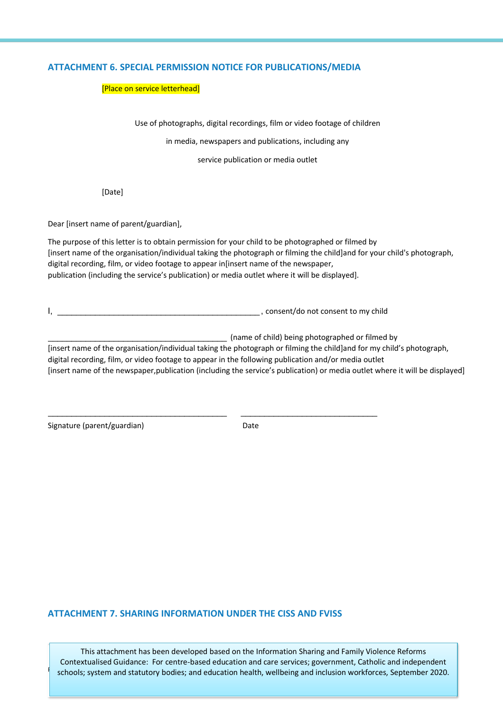# **ATTACHMENT 6. SPECIAL PERMISSION NOTICE FOR PUBLICATIONS/MEDIA**

#### [Place on service letterhead]

Use of photographs, digital recordings, film or video footage of children

in media, newspapers and publications, including any

service publication or media outlet

[Date]

Dear [insert name of parent/guardian],

The purpose of this letter is to obtain permission for your child to be photographed or filmed by [insert name of the organisation/individual taking the photograph or filming the child]and for your child's photograph, digital recording, film, or video footage to appear in[insert name of the newspaper, publication (including the service's publication) or media outlet where it will be displayed].

I, \_\_\_\_\_\_\_\_\_\_\_\_\_\_\_\_\_\_\_\_\_\_\_\_\_\_\_\_\_\_\_\_\_\_\_\_\_\_\_\_\_\_\_ , consent/do not consent to my child

\_\_\_\_\_\_\_\_\_\_\_\_\_\_\_\_\_\_\_\_\_\_\_\_\_\_\_\_\_\_\_\_\_\_\_\_\_\_ \_\_\_\_\_\_\_\_\_\_\_\_\_\_\_\_\_\_\_\_\_\_\_\_\_\_\_\_\_

\_\_\_\_\_\_\_\_\_\_\_\_\_\_\_\_\_\_\_\_\_\_\_\_\_\_\_\_\_\_\_\_\_\_\_\_\_\_ (name of child) being photographed or filmed by

[insert name of the organisation/individual taking the photograph or filming the child]and for my child's photograph, digital recording, film, or video footage to appear in the following publication and/or media outlet [insert name of the newspaper,publication (including the service's publication) or media outlet where it will be displayed]

Signature (parent/guardian) Date

# **ATTACHMENT 7. SHARING INFORMATION UNDER THE CISS AND FVISS**

schools; system and statutory bodies; and education health, wellbeing and inclusion workforces, September 2020. This attachment has been developed based on the Information Sharing and Family Violence Reforms Contextualised Guidance: For centre-based education and care services; government, Catholic and independent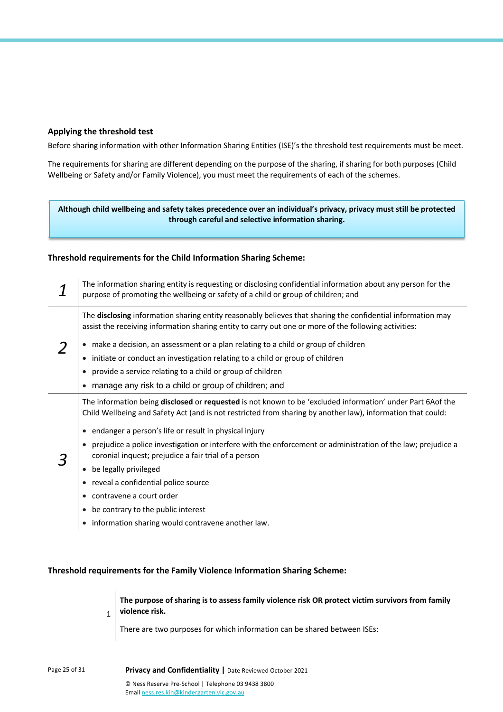## **Applying the threshold test**

Before sharing information with other Information Sharing Entities (ISE)'s the threshold test requirements must be meet.

The requirements for sharing are different depending on the purpose of the sharing, if sharing for both purposes (Child Wellbeing or Safety and/or Family Violence), you must meet the requirements of each of the schemes.

**Although child wellbeing and safety takes precedence over an individual's privacy, privacy must still be protected through careful and selective information sharing.**

#### **Threshold requirements for the Child Information Sharing Scheme:**

| The information sharing entity is requesting or disclosing confidential information about any person for the<br>purpose of promoting the wellbeing or safety of a child or group of children; and                                                                                                                                                                                                                                                                                                                                                                                                                                                 |  |
|---------------------------------------------------------------------------------------------------------------------------------------------------------------------------------------------------------------------------------------------------------------------------------------------------------------------------------------------------------------------------------------------------------------------------------------------------------------------------------------------------------------------------------------------------------------------------------------------------------------------------------------------------|--|
| The disclosing information sharing entity reasonably believes that sharing the confidential information may<br>assist the receiving information sharing entity to carry out one or more of the following activities:<br>• make a decision, an assessment or a plan relating to a child or group of children<br>initiate or conduct an investigation relating to a child or group of children<br>٠<br>provide a service relating to a child or group of children<br>manage any risk to a child or group of children; and                                                                                                                           |  |
| The information being disclosed or requested is not known to be 'excluded information' under Part 6Aof the<br>Child Wellbeing and Safety Act (and is not restricted from sharing by another law), information that could:<br>endanger a person's life or result in physical injury<br>prejudice a police investigation or interfere with the enforcement or administration of the law; prejudice a<br>coronial inquest; prejudice a fair trial of a person<br>be legally privileged<br>reveal a confidential police source<br>contravene a court order<br>be contrary to the public interest<br>information sharing would contravene another law. |  |

## **Threshold requirements for the Family Violence Information Sharing Scheme:**

**The purpose of sharing is to assess family violence risk OR protect victim survivors from family violence risk.**

There are two purposes for which information can be shared between ISEs:

1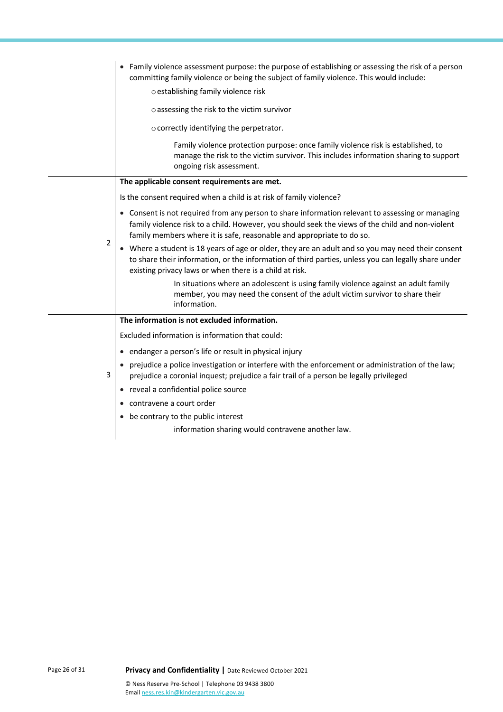|   | • Family violence assessment purpose: the purpose of establishing or assessing the risk of a person<br>committing family violence or being the subject of family violence. This would include:                                                                                |
|---|-------------------------------------------------------------------------------------------------------------------------------------------------------------------------------------------------------------------------------------------------------------------------------|
|   | o establishing family violence risk                                                                                                                                                                                                                                           |
|   | o assessing the risk to the victim survivor                                                                                                                                                                                                                                   |
|   | o correctly identifying the perpetrator.                                                                                                                                                                                                                                      |
|   | Family violence protection purpose: once family violence risk is established, to<br>manage the risk to the victim survivor. This includes information sharing to support<br>ongoing risk assessment.                                                                          |
|   | The applicable consent requirements are met.                                                                                                                                                                                                                                  |
|   | Is the consent required when a child is at risk of family violence?                                                                                                                                                                                                           |
| 2 | • Consent is not required from any person to share information relevant to assessing or managing<br>family violence risk to a child. However, you should seek the views of the child and non-violent<br>family members where it is safe, reasonable and appropriate to do so. |
|   | • Where a student is 18 years of age or older, they are an adult and so you may need their consent<br>to share their information, or the information of third parties, unless you can legally share under<br>existing privacy laws or when there is a child at risk.          |
|   | In situations where an adolescent is using family violence against an adult family<br>member, you may need the consent of the adult victim survivor to share their<br>information.                                                                                            |
|   | The information is not excluded information.                                                                                                                                                                                                                                  |
|   | Excluded information is information that could:                                                                                                                                                                                                                               |
|   | • endanger a person's life or result in physical injury                                                                                                                                                                                                                       |
| 3 | • prejudice a police investigation or interfere with the enforcement or administration of the law;<br>prejudice a coronial inquest; prejudice a fair trail of a person be legally privileged                                                                                  |
|   | • reveal a confidential police source                                                                                                                                                                                                                                         |
|   | contravene a court order                                                                                                                                                                                                                                                      |
|   | • be contrary to the public interest                                                                                                                                                                                                                                          |
|   | information sharing would contravene another law.                                                                                                                                                                                                                             |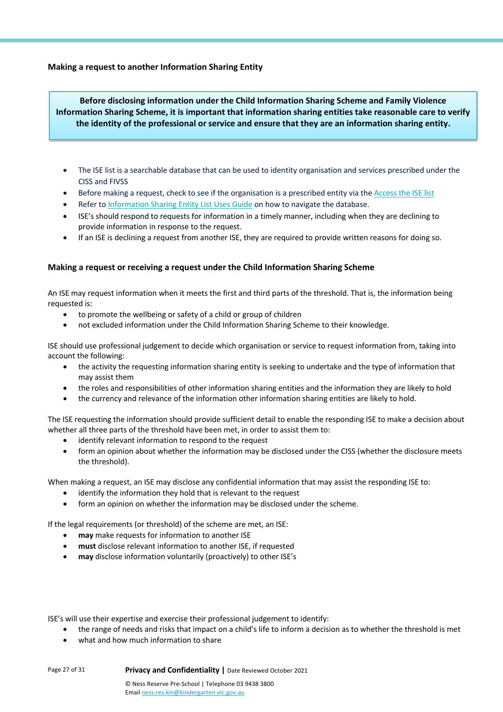# **Making a request to another Information Sharing Entity**

**Before disclosing information under the Child Information Sharing Scheme and Family Violence Information Sharing Scheme, it is important that information sharing entities take reasonable care to verify the identity of the professional or service and ensure that they are an information sharing entity.**

- The ISE list is a searchable database that can be used to identity organisation and services prescribed under the CISS and FIVSS
- Before making a request, check to see if the organisation is a prescribed entity via the Access the ISE list
- Refer to Information Sharing Entity List Uses Guide on how to navigate the database.
- ISE's should respond to requests for information in a timely manner, including when they are declining to provide information in response to the request.
- If an ISE is declining a request from another ISE, they are required to provide written reasons for doing so.

### **Making a request or receiving a request under the Child Information Sharing Scheme**

An ISE may request information when it meets the first and third parts of the threshold. That is, the information being requested is:

- to promote the wellbeing or safety of a child or group of children
- not excluded information under the Child Information Sharing Scheme to their knowledge.

ISE should use professional judgement to decide which organisation or service to request information from, taking into account the following:

- the activity the requesting information sharing entity is seeking to undertake and the type of information that may assist them
- the roles and responsibilities of other information sharing entities and the information they are likely to hold
- the currency and relevance of the information other information sharing entities are likely to hold.

The ISE requesting the information should provide sufficient detail to enable the responding ISE to make a decision about whether all three parts of the threshold have been met, in order to assist them to:

- identify relevant information to respond to the request
- form an opinion about whether the information may be disclosed under the CISS (whether the disclosure meets the threshold).

When making a request, an ISE may disclose any confidential information that may assist the responding ISE to:

- identify the information they hold that is relevant to the request
- form an opinion on whether the information may be disclosed under the scheme.

If the legal requirements (or threshold) of the scheme are met, an ISE:

- may make requests for information to another ISE
- **must** disclose relevant information to another ISE, if requested
- **may** disclose information voluntarily (proactively) to other ISE's

ISE's will use their expertise and exercise their professional judgement to identify:

- the range of needs and risks that impact on a child's life to inform a decision as to whether the threshold is met
- what and how much information to share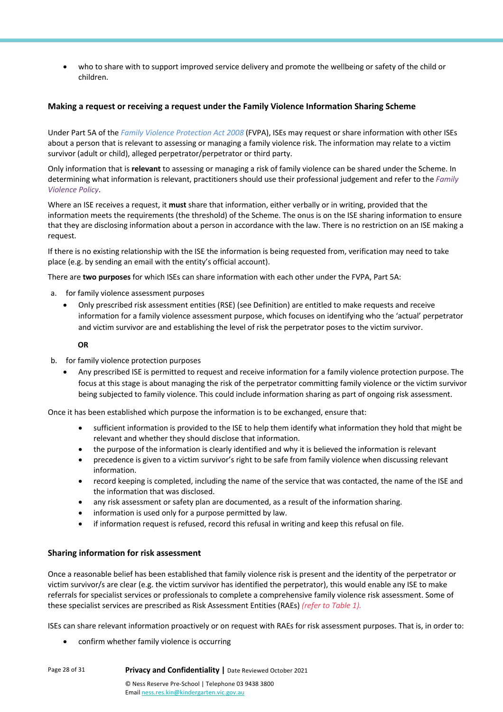• who to share with to support improved service delivery and promote the wellbeing or safety of the child or children.

### **Making a request or receiving a request under the Family Violence Information Sharing Scheme**

Under Part 5A of the *Family Violence Protection Act 2008* (FVPA), ISEs may request or share information with other ISEs about a person that is relevant to assessing or managing a family violence risk. The information may relate to a victim survivor (adult or child), alleged perpetrator/perpetrator or third party.

Only information that is **relevant** to assessing or managing a risk of family violence can be shared under the Scheme. In determining what information is relevant, practitioners should use their professional judgement and refer to the *Family Violence Policy*.

Where an ISE receives a request, it **must** share that information, either verbally or in writing, provided that the information meets the requirements (the threshold) of the Scheme. The onus is on the ISE sharing information to ensure that they are disclosing information about a person in accordance with the law. There is no restriction on an ISE making a request.

If there is no existing relationship with the ISE the information is being requested from, verification may need to take place (e.g. by sending an email with the entity's official account).

There are **two purposes** for which ISEs can share information with each other under the FVPA, Part 5A:

- a. for family violence assessment purposes
	- Only prescribed risk assessment entities (RSE) (see Definition) are entitled to make requests and receive information for a family violence assessment purpose, which focuses on identifying who the 'actual' perpetrator and victim survivor are and establishing the level of risk the perpetrator poses to the victim survivor.

#### **OR**

- b. for family violence protection purposes
	- Any prescribed ISE is permitted to request and receive information for a family violence protection purpose. The focus at this stage is about managing the risk of the perpetrator committing family violence or the victim survivor being subjected to family violence. This could include information sharing as part of ongoing risk assessment.

Once it has been established which purpose the information is to be exchanged, ensure that:

- sufficient information is provided to the ISE to help them identify what information they hold that might be relevant and whether they should disclose that information.
- the purpose of the information is clearly identified and why it is believed the information is relevant
- precedence is given to a victim survivor's right to be safe from family violence when discussing relevant information.
- record keeping is completed, including the name of the service that was contacted, the name of the ISE and the information that was disclosed.
- any risk assessment or safety plan are documented, as a result of the information sharing.
- information is used only for a purpose permitted by law.
- if information request is refused, record this refusal in writing and keep this refusal on file.

# **Sharing information for risk assessment**

Once a reasonable belief has been established that family violence risk is present and the identity of the perpetrator or victim survivor/s are clear (e.g. the victim survivor has identified the perpetrator), this would enable any ISE to make referrals for specialist services or professionals to complete a comprehensive family violence risk assessment. Some of these specialist services are prescribed as Risk Assessment Entities (RAEs) *(refer to Table 1).*

ISEs can share relevant information proactively or on request with RAEs for risk assessment purposes. That is, in order to:

• confirm whether family violence is occurring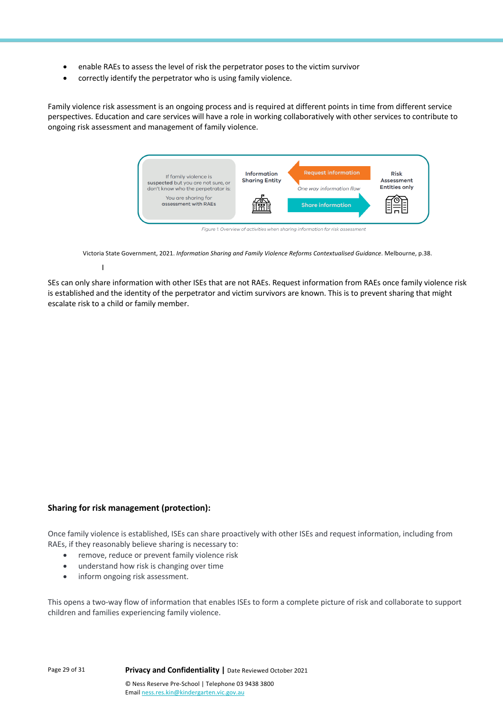- enable RAEs to assess the level of risk the perpetrator poses to the victim survivor
- correctly identify the perpetrator who is using family violence.

Family violence risk assessment is an ongoing process and is required at different points in time from different service perspectives. Education and care services will have a role in working collaboratively with other services to contribute to ongoing risk assessment and management of family violence.



Victoria State Government, 2021. *Information Sharing and Family Violence Reforms Contextualised Guidance*. Melbourne, p.38.

I

SEs can only share information with other ISEs that are not RAEs. Request information from RAEs once family violence risk is established and the identity of the perpetrator and victim survivors are known. This is to prevent sharing that might escalate risk to a child or family member.

# **Sharing for risk management (protection):**

Once family violence is established, ISEs can share proactively with other ISEs and request information, including from RAEs, if they reasonably believe sharing is necessary to:

- remove, reduce or prevent family violence risk
- understand how risk is changing over time
- inform ongoing risk assessment.

This opens a two-way flow of information that enables ISEs to form a complete picture of risk and collaborate to support children and families experiencing family violence.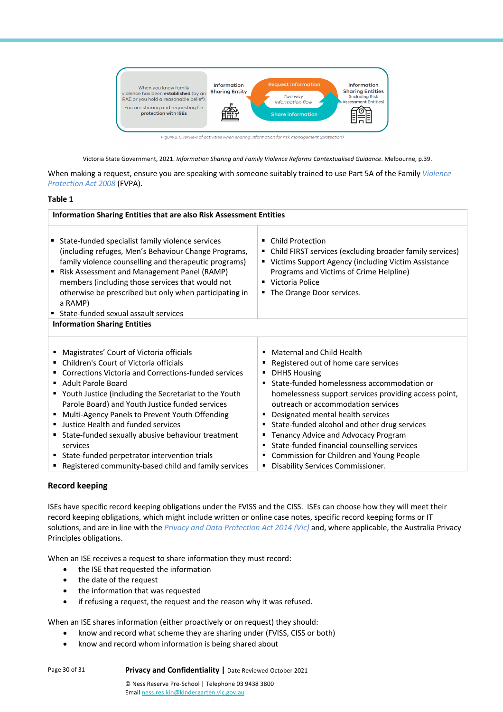

Figure 2: Overview of activities when sharing information for risk management (protection)

Victoria State Government, 2021. *Information Sharing and Family Violence Reforms Contextualised Guidance*. Melbourne, p.39.

When making a request, ensure you are speaking with someone suitably trained to use Part 5A of the Family *Violence Protection Act 2008* (FVPA).

#### **Table 1**

| Information Sharing Entities that are also Risk Assessment Entities                                                                                                                                                                                                                                                                                                                                                                                                                                                                                            |                                                                                                                                                                                                                                                                                                                                                                                                                                                                                                                                           |  |
|----------------------------------------------------------------------------------------------------------------------------------------------------------------------------------------------------------------------------------------------------------------------------------------------------------------------------------------------------------------------------------------------------------------------------------------------------------------------------------------------------------------------------------------------------------------|-------------------------------------------------------------------------------------------------------------------------------------------------------------------------------------------------------------------------------------------------------------------------------------------------------------------------------------------------------------------------------------------------------------------------------------------------------------------------------------------------------------------------------------------|--|
| State-funded specialist family violence services<br>(including refuges, Men's Behaviour Change Programs,<br>family violence counselling and therapeutic programs)<br>■ Risk Assessment and Management Panel (RAMP)<br>members (including those services that would not<br>otherwise be prescribed but only when participating in<br>a RAMP)<br>■ State-funded sexual assault services                                                                                                                                                                          | <b>Child Protection</b><br>٠<br>• Child FIRST services (excluding broader family services)<br>" Victims Support Agency (including Victim Assistance<br>Programs and Victims of Crime Helpline)<br>■ Victoria Police<br>■ The Orange Door services.                                                                                                                                                                                                                                                                                        |  |
| <b>Information Sharing Entities</b>                                                                                                                                                                                                                                                                                                                                                                                                                                                                                                                            |                                                                                                                                                                                                                                                                                                                                                                                                                                                                                                                                           |  |
| Magistrates' Court of Victoria officials<br>٠<br>Children's Court of Victoria officials<br>Corrections Victoria and Corrections-funded services<br>٠<br>Adult Parole Board<br>" Youth Justice (including the Secretariat to the Youth<br>Parole Board) and Youth Justice funded services<br>Multi-Agency Panels to Prevent Youth Offending<br>٠<br>Justice Health and funded services<br>State-funded sexually abusive behaviour treatment<br>services<br>State-funded perpetrator intervention trials<br>Registered community-based child and family services | Maternal and Child Health<br>٠<br>Registered out of home care services<br>٠<br><b>DHHS Housing</b><br>٠<br>State-funded homelessness accommodation or<br>٠<br>homelessness support services providing access point,<br>outreach or accommodation services<br>Designated mental health services<br>٠<br>State-funded alcohol and other drug services<br>Tenancy Advice and Advocacy Program<br>٠<br>State-funded financial counselling services<br>Commission for Children and Young People<br>٠<br>Disability Services Commissioner.<br>٠ |  |

#### **Record keeping**

ISEs have specific record keeping obligations under the FVISS and the CISS. ISEs can choose how they will meet their record keeping obligations, which might include written or online case notes, specific record keeping forms or IT solutions, and are in line with the *Privacy and Data Protection Act 2014 (Vic)* and, where applicable, the Australia Privacy Principles obligations.

When an ISE receives a request to share information they must record:

- the ISE that requested the information
- the date of the request
- the information that was requested
- if refusing a request, the request and the reason why it was refused.

When an ISE shares information (either proactively or on request) they should:

- know and record what scheme they are sharing under (FVISS, CISS or both)
- know and record whom information is being shared about